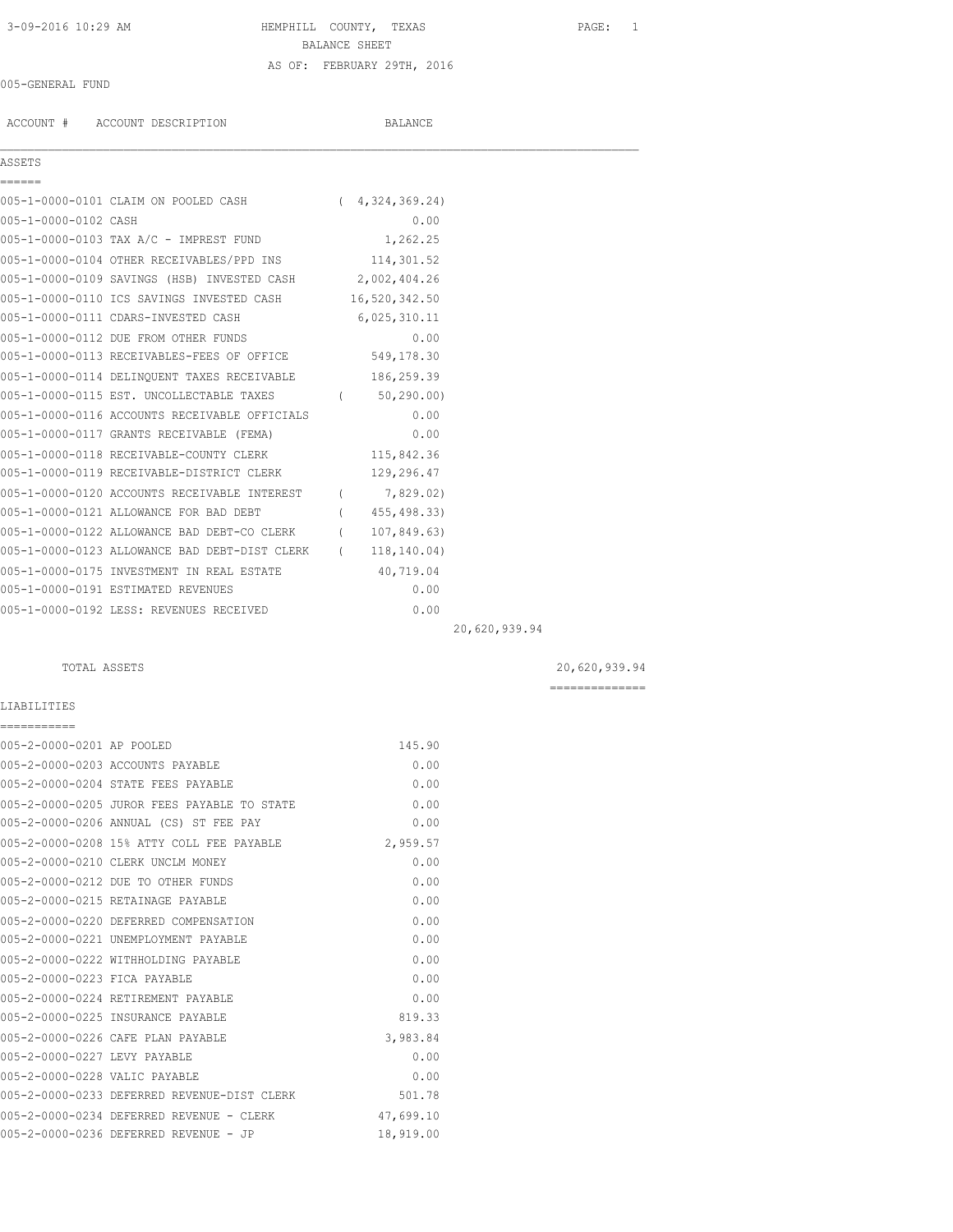## 3-09-2016 10:29 AM HEMPHILL COUNTY, TEXAS PAGE: 1 BALANCE SHEET AS OF: FEBRUARY 29TH, 2016

### 005-GENERAL FUND

ACCOUNT # ACCOUNT DESCRIPTION BALANCE

| Q<br>٠ | Q.<br>с |  |  |
|--------|---------|--|--|
|        |         |  |  |

| ASSETS               |                                                          |                |
|----------------------|----------------------------------------------------------|----------------|
|                      |                                                          |                |
|                      | 005-1-0000-0101 CLAIM ON POOLED CASH                     | (4,324,369,24) |
| 005-1-0000-0102 CASH |                                                          | 0.00           |
|                      | 005-1-0000-0103 TAX A/C - IMPREST FUND                   | 1,262.25       |
|                      | 005-1-0000-0104 OTHER RECEIVABLES/PPD INS                | 114,301.52     |
|                      | 005-1-0000-0109 SAVINGS (HSB) INVESTED CASH 2,002,404.26 |                |
|                      | 005-1-0000-0110 ICS SAVINGS INVESTED CASH 16,520,342.50  |                |
|                      | 005-1-0000-0111 CDARS-INVESTED CASH                      | 6,025,310.11   |
|                      | 005-1-0000-0112 DUE FROM OTHER FUNDS                     | 0.00           |
|                      | 005-1-0000-0113 RECEIVABLES-FEES OF OFFICE               | 549,178.30     |
|                      | 005-1-0000-0114 DELINQUENT TAXES RECEIVABLE              | 186,259.39     |
|                      | 005-1-0000-0115 EST. UNCOLLECTABLE TAXES                 | 50,290.00)     |
|                      | 005-1-0000-0116 ACCOUNTS RECEIVABLE OFFICIALS            | 0.00           |
|                      | AAE 1 AAAA A117 CDANTA DROPTUARIDI (PRMA)                | $\cap$ $\cap$  |

| 005-1-0000-0116 ACCOUNTS RECEIVABLE OFFICIALS | 0.00         |
|-----------------------------------------------|--------------|
| 005-1-0000-0117 GRANTS RECEIVABLE (FEMA)      | 0.00         |
| 005-1-0000-0118 RECEIVABLE-COUNTY CLERK       | 115,842.36   |
| 005-1-0000-0119 RECEIVABLE-DISTRICT CLERK     | 129,296.47   |
| 005-1-0000-0120 ACCOUNTS RECEIVABLE INTEREST  | 7,829.02)    |
| 005-1-0000-0121 ALLOWANCE FOR BAD DEBT        | 455, 498.33) |
| 005-1-0000-0122 ALLOWANCE BAD DEBT-CO CLERK   | 107,849.63)  |
| 005-1-0000-0123 ALLOWANCE BAD DEBT-DIST CLERK | 118, 140.04) |
| 005-1-0000-0175 INVESTMENT IN REAL ESTATE     | 40,719.04    |
| 005-1-0000-0191 ESTIMATED REVENUES            | 0.00         |
| 005-1-0000-0192 LESS: REVENUES RECEIVED       | 0.00         |

20,620,939.94

LIABILITIES

| ===========                   |                                             |           |
|-------------------------------|---------------------------------------------|-----------|
| 005-2-0000-0201 AP POOLED     |                                             | 145.90    |
|                               | 005-2-0000-0203 ACCOUNTS PAYABLE            | 0.00      |
|                               | 005-2-0000-0204 STATE FEES PAYABLE          | 0.00      |
|                               | 005-2-0000-0205 JUROR FEES PAYABLE TO STATE | 0.00      |
|                               | 005-2-0000-0206 ANNUAL (CS) ST FEE PAY      | 0.00      |
|                               | 005-2-0000-0208 15% ATTY COLL FEE PAYABLE   | 2,959.57  |
|                               | 005-2-0000-0210 CLERK UNCLM MONEY           | 0.00      |
|                               | 005-2-0000-0212 DUE TO OTHER FUNDS          | 0.00      |
|                               | 005-2-0000-0215 RETAINAGE PAYABLE           | 0.00      |
|                               | 005-2-0000-0220 DEFERRED COMPENSATION       | 0.00      |
|                               | 005-2-0000-0221 UNEMPLOYMENT PAYABLE        | 0.00      |
|                               | 005-2-0000-0222 WITHHOLDING PAYABLE         | 0.00      |
| 005-2-0000-0223 FICA PAYABLE  |                                             | 0.00      |
|                               | 005-2-0000-0224 RETIREMENT PAYABLE          | 0.00      |
|                               | 005-2-0000-0225 INSURANCE PAYABLE           | 819.33    |
|                               | 005-2-0000-0226 CAFE PLAN PAYABLE           | 3,983.84  |
| 005-2-0000-0227 LEVY PAYABLE  |                                             | 0.00      |
| 005-2-0000-0228 VALIC PAYABLE |                                             | 0.00      |
|                               | 005-2-0000-0233 DEFERRED REVENUE-DIST CLERK | 501.78    |
|                               | 005-2-0000-0234 DEFERRED REVENUE - CLERK    | 47,699.10 |
|                               | 005-2-0000-0236 DEFERRED REVENUE - JP       | 18,919.00 |

TOTAL ASSETS 20,620,939.94

==============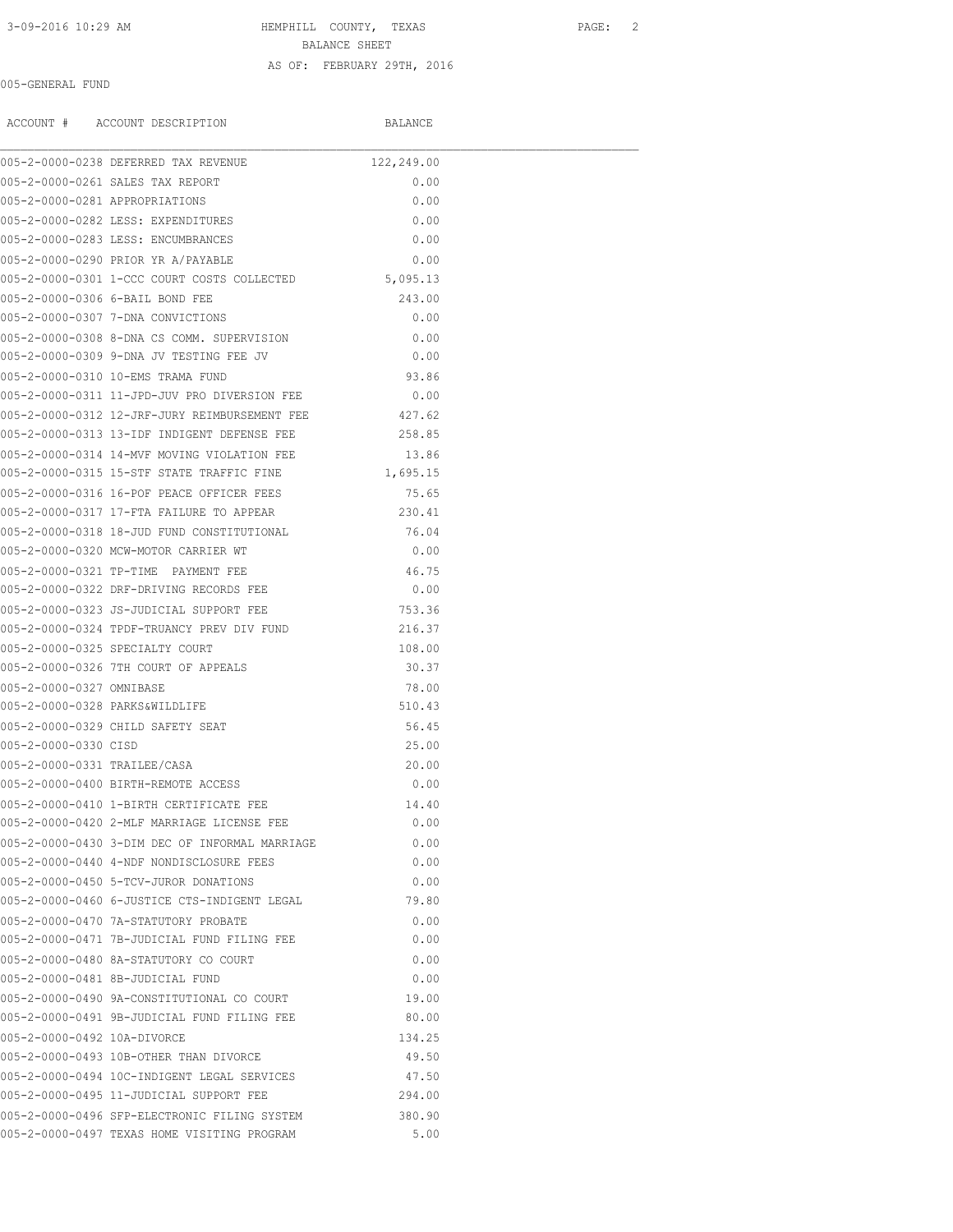# 3-09-2016 10:29 AM HEMPHILL COUNTY, TEXAS PAGE: 2 BALANCE SHEET AS OF: FEBRUARY 29TH, 2016

#### 005-GENERAL FUND

ACCOUNT # ACCOUNT DESCRIPTION BALANCE

|                                | 005-2-0000-0238 DEFERRED TAX REVENUE                 | 122,249.00 |  |
|--------------------------------|------------------------------------------------------|------------|--|
|                                | 005-2-0000-0261 SALES TAX REPORT                     | 0.00       |  |
| 005-2-0000-0281 APPROPRIATIONS |                                                      | 0.00       |  |
|                                | 005-2-0000-0282 LESS: EXPENDITURES                   | 0.00       |  |
|                                | 005-2-0000-0283 LESS: ENCUMBRANCES                   | 0.00       |  |
|                                | 005-2-0000-0290 PRIOR YR A/PAYABLE                   | 0.00       |  |
|                                | 005-2-0000-0301 1-CCC COURT COSTS COLLECTED          | 5,095.13   |  |
|                                | 005-2-0000-0306 6-BAIL BOND FEE                      | 243.00     |  |
|                                | 005-2-0000-0307 7-DNA CONVICTIONS                    | 0.00       |  |
|                                | 005-2-0000-0308 8-DNA CS COMM. SUPERVISION           | 0.00       |  |
|                                | 005-2-0000-0309 9-DNA JV TESTING FEE JV              | 0.00       |  |
|                                | 005-2-0000-0310 10-EMS TRAMA FUND                    | 93.86      |  |
|                                | 005-2-0000-0311 11-JPD-JUV PRO DIVERSION FEE         | 0.00       |  |
|                                | 005-2-0000-0312 12-JRF-JURY REIMBURSEMENT FEE 427.62 |            |  |
|                                | 005-2-0000-0313 13-IDF INDIGENT DEFENSE FEE          | 258.85     |  |
|                                | 005-2-0000-0314 14-MVF MOVING VIOLATION FEE          | 13.86      |  |
|                                | 005-2-0000-0315 15-STF STATE TRAFFIC FINE            | 1,695.15   |  |
|                                | 005-2-0000-0316 16-POF PEACE OFFICER FEES            | 75.65      |  |
|                                | 005-2-0000-0317 17-FTA FAILURE TO APPEAR             | 230.41     |  |
|                                | 005-2-0000-0318 18-JUD FUND CONSTITUTIONAL           | 76.04      |  |
|                                | 005-2-0000-0320 MCW-MOTOR CARRIER WT                 | 0.00       |  |
|                                | 005-2-0000-0321 TP-TIME PAYMENT FEE                  | 46.75      |  |
|                                | 005-2-0000-0322 DRF-DRIVING RECORDS FEE              | 0.00       |  |
|                                | 005-2-0000-0323 JS-JUDICIAL SUPPORT FEE              | 753.36     |  |
|                                | 005-2-0000-0324 TPDF-TRUANCY PREV DIV FUND           | 216.37     |  |
|                                | 005-2-0000-0325 SPECIALTY COURT                      | 108.00     |  |
|                                | 005-2-0000-0326 7TH COURT OF APPEALS                 | 30.37      |  |
| 005-2-0000-0327 OMNIBASE       |                                                      | 78.00      |  |
| 005-2-0000-0328 PARKS&WILDLIFE |                                                      | 510.43     |  |
|                                | 005-2-0000-0329 CHILD SAFETY SEAT                    | 56.45      |  |
| 005-2-0000-0330 CTSD           |                                                      | 25.00      |  |
|                                |                                                      |            |  |
| 005-2-0000-0331 TRAILEE/CASA   |                                                      | 20.00      |  |
|                                | 005-2-0000-0400 BIRTH-REMOTE ACCESS                  | 0.00       |  |
|                                | 005-2-0000-0410 1-BIRTH CERTIFICATE FEE              | 14.40      |  |
|                                | 005-2-0000-0420 2-MLF MARRIAGE LICENSE FEE           | 0.00       |  |
|                                | 005-2-0000-0430 3-DIM DEC OF INFORMAL MARRIAGE       | 0.00       |  |
|                                | 005-2-0000-0440 4-NDF NONDISCLOSURE FEES             | 0.00       |  |
|                                | 005-2-0000-0450 5-TCV-JUROR DONATIONS                | 0.00       |  |
|                                | 005-2-0000-0460 6-JUSTICE CTS-INDIGENT LEGAL         | 79.80      |  |
|                                | 005-2-0000-0470 7A-STATUTORY PROBATE                 | 0.00       |  |
|                                | 005-2-0000-0471 7B-JUDICIAL FUND FILING FEE          | 0.00       |  |
|                                | 005-2-0000-0480 8A-STATUTORY CO COURT                | 0.00       |  |
|                                | 005-2-0000-0481 8B-JUDICIAL FUND                     | 0.00       |  |
|                                | 005-2-0000-0490 9A-CONSTITUTIONAL CO COURT           | 19.00      |  |
|                                | 005-2-0000-0491 9B-JUDICIAL FUND FILING FEE          | 80.00      |  |
| 005-2-0000-0492 10A-DIVORCE    |                                                      | 134.25     |  |
|                                | 005-2-0000-0493 10B-OTHER THAN DIVORCE               | 49.50      |  |
|                                | 005-2-0000-0494 10C-INDIGENT LEGAL SERVICES          | 47.50      |  |
|                                | 005-2-0000-0495 11-JUDICIAL SUPPORT FEE              | 294.00     |  |
|                                | 005-2-0000-0496 SFP-ELECTRONIC FILING SYSTEM         | 380.90     |  |
|                                | 005-2-0000-0497 TEXAS HOME VISITING PROGRAM          | 5.00       |  |
|                                |                                                      |            |  |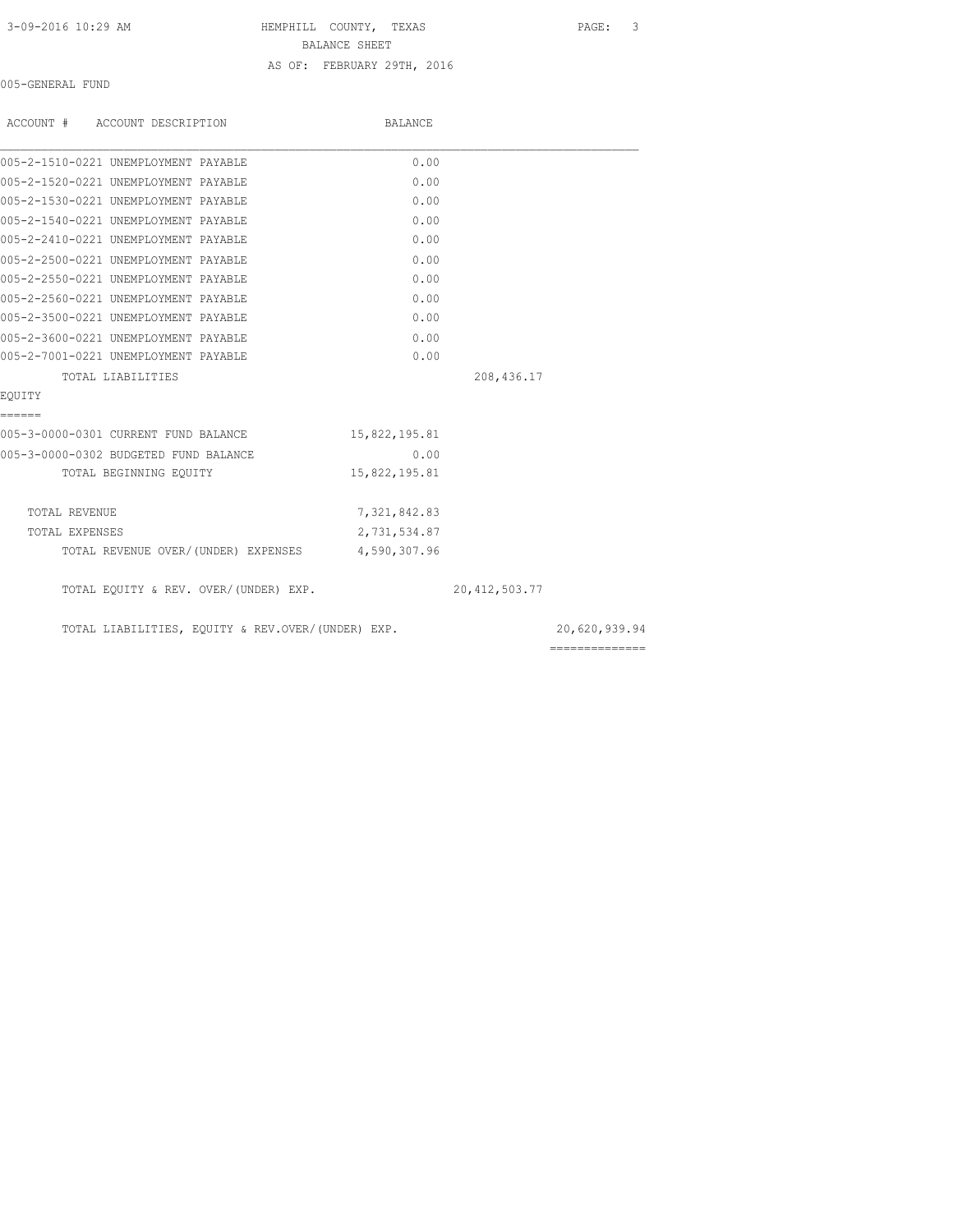3-09-2016 10:29 AM HEMPHILL COUNTY, TEXAS PAGE: 3 BALANCE SHEET

AS OF: FEBRUARY 29TH, 2016

005-GENERAL FUND

| ACCOUNT # ACCOUNT DESCRIPTION                     | BALANCE       |                  |                |
|---------------------------------------------------|---------------|------------------|----------------|
| 005-2-1510-0221 UNEMPLOYMENT PAYABLE              | 0.00          |                  |                |
| 005-2-1520-0221 UNEMPLOYMENT PAYABLE              | 0.00          |                  |                |
| 005-2-1530-0221 UNEMPLOYMENT PAYABLE              | 0.00          |                  |                |
| 005-2-1540-0221 UNEMPLOYMENT PAYABLE              | 0.00          |                  |                |
| 005-2-2410-0221 UNEMPLOYMENT PAYABLE              | 0.00          |                  |                |
| 005-2-2500-0221 UNEMPLOYMENT PAYABLE              | 0.00          |                  |                |
| 005-2-2550-0221 UNEMPLOYMENT PAYABLE              | 0.00          |                  |                |
| 005-2-2560-0221 UNEMPLOYMENT PAYABLE              | 0.00          |                  |                |
| 005-2-3500-0221 UNEMPLOYMENT PAYABLE              | 0.00          |                  |                |
| 005-2-3600-0221 UNEMPLOYMENT PAYABLE              | 0.00          |                  |                |
| 005-2-7001-0221 UNEMPLOYMENT PAYABLE              | 0.00          |                  |                |
| TOTAL LIABILITIES                                 |               | 208,436.17       |                |
| EOUITY                                            |               |                  |                |
| ======                                            |               |                  |                |
| 005-3-0000-0301 CURRENT FUND BALANCE              | 15,822,195.81 |                  |                |
| 005-3-0000-0302 BUDGETED FUND BALANCE             | 0.00          |                  |                |
| TOTAL BEGINNING EQUITY                            | 15,822,195.81 |                  |                |
| TOTAL REVENUE                                     | 7,321,842.83  |                  |                |
| TOTAL EXPENSES                                    | 2,731,534.87  |                  |                |
| TOTAL REVENUE OVER/(UNDER) EXPENSES 4,590,307.96  |               |                  |                |
| TOTAL EQUITY & REV. OVER/(UNDER) EXP.             |               | 20, 412, 503. 77 |                |
| TOTAL LIABILITIES, EQUITY & REV.OVER/(UNDER) EXP. |               |                  | 20,620,939.94  |
|                                                   |               |                  | ============== |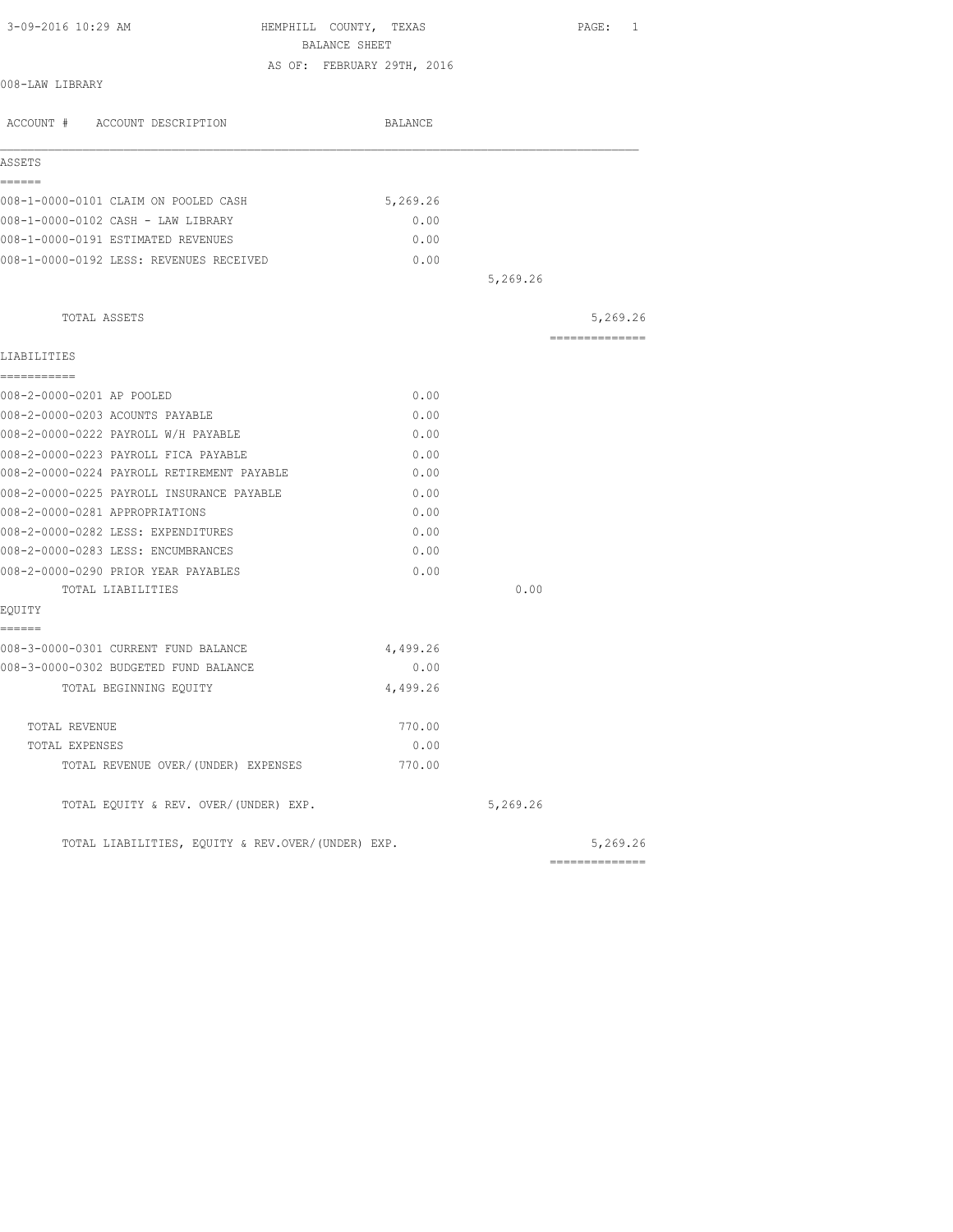| 3-09-2016 10:29 AM                                | HEMPHILL COUNTY, TEXAS<br>BALANCE SHEET | PAGE: 1        |
|---------------------------------------------------|-----------------------------------------|----------------|
|                                                   | AS OF: FEBRUARY 29TH, 2016              |                |
| 008-LAW LIBRARY                                   |                                         |                |
| ACCOUNT # ACCOUNT DESCRIPTION                     | BALANCE                                 |                |
| ASSETS                                            |                                         |                |
| ------                                            |                                         |                |
| 008-1-0000-0101 CLAIM ON POOLED CASH              | 5,269.26                                |                |
| 008-1-0000-0102 CASH - LAW LIBRARY                | 0.00                                    |                |
| 008-1-0000-0191 ESTIMATED REVENUES                | 0.00                                    |                |
| 008-1-0000-0192 LESS: REVENUES RECEIVED           | 0.00                                    |                |
|                                                   |                                         | 5,269.26       |
| TOTAL ASSETS                                      |                                         | 5,269.26       |
| LIABILITIES                                       |                                         | ============== |
| ===========                                       |                                         |                |
| 008-2-0000-0201 AP POOLED                         | 0.00                                    |                |
| 008-2-0000-0203 ACOUNTS PAYABLE                   | 0.00                                    |                |
| 008-2-0000-0222 PAYROLL W/H PAYABLE               | 0.00                                    |                |
| 008-2-0000-0223 PAYROLL FICA PAYABLE              | 0.00                                    |                |
| 008-2-0000-0224 PAYROLL RETIREMENT PAYABLE        | 0.00                                    |                |
| 008-2-0000-0225 PAYROLL INSURANCE PAYABLE         | 0.00                                    |                |
| 008-2-0000-0281 APPROPRIATIONS                    | 0.00                                    |                |
| 008-2-0000-0282 LESS: EXPENDITURES                | 0.00                                    |                |
| 008-2-0000-0283 LESS: ENCUMBRANCES                | 0.00                                    |                |
| 008-2-0000-0290 PRIOR YEAR PAYABLES               | 0.00                                    |                |
| TOTAL LIABILITIES                                 |                                         | 0.00           |
| EQUITY                                            |                                         |                |
| ======<br>008-3-0000-0301 CURRENT FUND BALANCE    | 4,499.26                                |                |
| 008-3-0000-0302 BUDGETED FUND BALANCE             | 0.00                                    |                |
| TOTAL BEGINNING EQUITY                            | 4,499.26                                |                |
| TOTAL REVENUE                                     | 770.00                                  |                |
| TOTAL EXPENSES                                    | 0.00                                    |                |
| TOTAL REVENUE OVER/(UNDER) EXPENSES               | 770.00                                  |                |
| TOTAL EQUITY & REV. OVER/(UNDER) EXP.             |                                         | 5,269.26       |
| TOTAL LIABILITIES, EQUITY & REV.OVER/(UNDER) EXP. |                                         | 5,269.26       |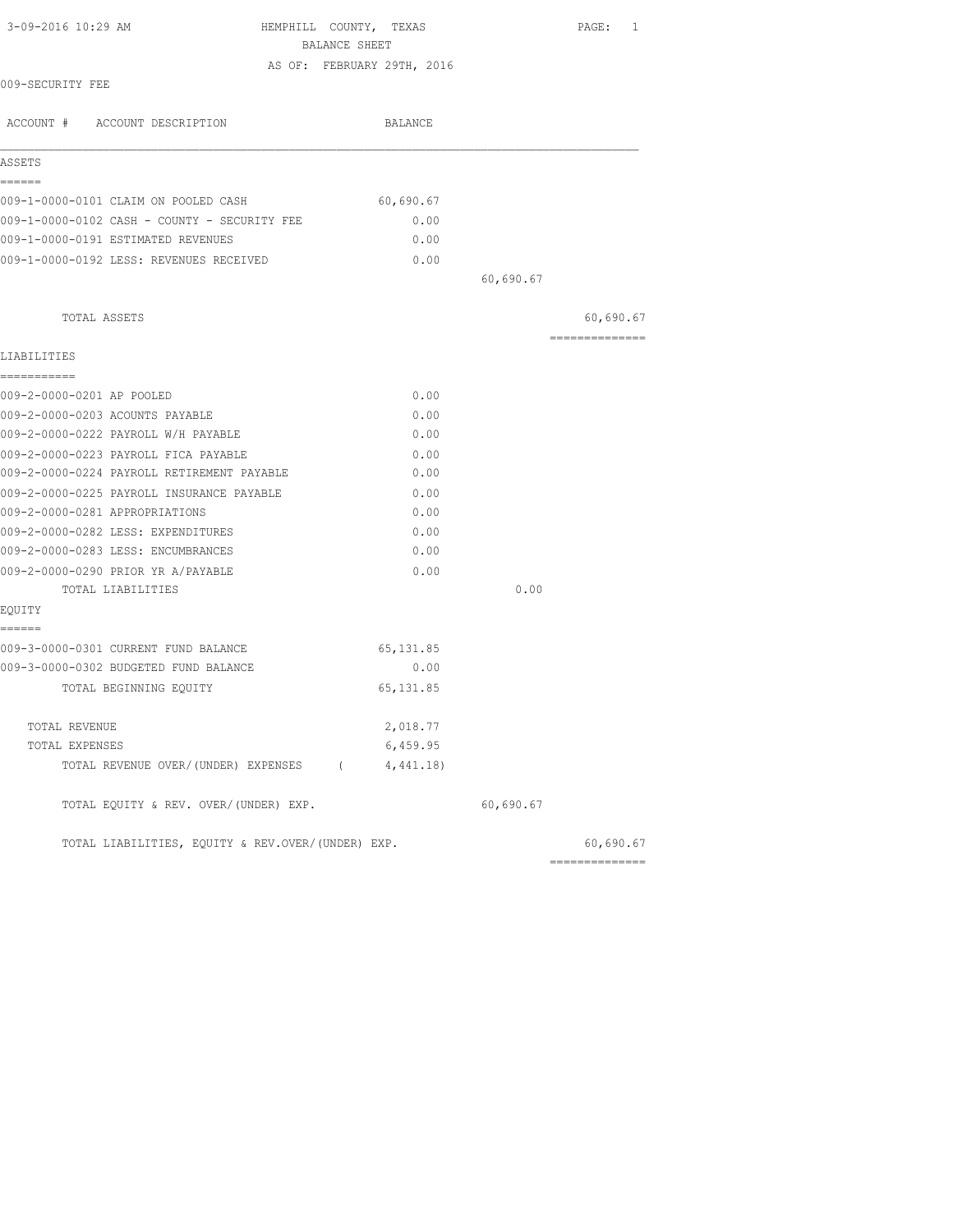| 3-09-2016 10:29 AM                                | HEMPHILL COUNTY, TEXAS<br>BALANCE SHEET |           | PAGE: 1        |
|---------------------------------------------------|-----------------------------------------|-----------|----------------|
|                                                   |                                         |           |                |
| 009-SECURITY FEE                                  | AS OF: FEBRUARY 29TH, 2016              |           |                |
| ACCOUNT # ACCOUNT DESCRIPTION                     | BALANCE                                 |           |                |
| ASSETS                                            |                                         |           |                |
| ======<br>009-1-0000-0101 CLAIM ON POOLED CASH    | 60,690.67                               |           |                |
| 009-1-0000-0102 CASH - COUNTY - SECURITY FEE      | 0.00                                    |           |                |
| 009-1-0000-0191 ESTIMATED REVENUES                | 0.00                                    |           |                |
| 009-1-0000-0192 LESS: REVENUES RECEIVED           | 0.00                                    |           |                |
|                                                   |                                         | 60,690.67 |                |
| TOTAL ASSETS                                      |                                         |           | 60,690.67      |
| LIABILITIES                                       |                                         |           | ============== |
| ===========                                       |                                         |           |                |
| 009-2-0000-0201 AP POOLED                         | 0.00                                    |           |                |
| 009-2-0000-0203 ACOUNTS PAYABLE                   | 0.00                                    |           |                |
| 009-2-0000-0222 PAYROLL W/H PAYABLE               | 0.00                                    |           |                |
| 009-2-0000-0223 PAYROLL FICA PAYABLE              | 0.00                                    |           |                |
| 009-2-0000-0224 PAYROLL RETIREMENT PAYABLE        | 0.00                                    |           |                |
| 009-2-0000-0225 PAYROLL INSURANCE PAYABLE         | 0.00                                    |           |                |
| 009-2-0000-0281 APPROPRIATIONS                    | 0.00                                    |           |                |
| 009-2-0000-0282 LESS: EXPENDITURES                | 0.00                                    |           |                |
| 009-2-0000-0283 LESS: ENCUMBRANCES                | 0.00                                    |           |                |
| 009-2-0000-0290 PRIOR YR A/PAYABLE                | 0.00                                    |           |                |
| TOTAL LIABILITIES                                 |                                         | 0.00      |                |
| EQUITY<br>======                                  |                                         |           |                |
| 009-3-0000-0301 CURRENT FUND BALANCE              | 65, 131.85                              |           |                |
| 009-3-0000-0302 BUDGETED FUND BALANCE             | 0.00                                    |           |                |
| TOTAL BEGINNING EQUITY                            | 65, 131.85                              |           |                |
| TOTAL REVENUE                                     | 2,018.77                                |           |                |
| TOTAL EXPENSES                                    | 6,459.95                                |           |                |
| TOTAL REVENUE OVER/(UNDER) EXPENSES (             | 4,441.18)                               |           |                |
| TOTAL EQUITY & REV. OVER/(UNDER) EXP.             |                                         | 60,690.67 |                |
| TOTAL LIABILITIES, EQUITY & REV.OVER/(UNDER) EXP. |                                         |           | 60,690.67      |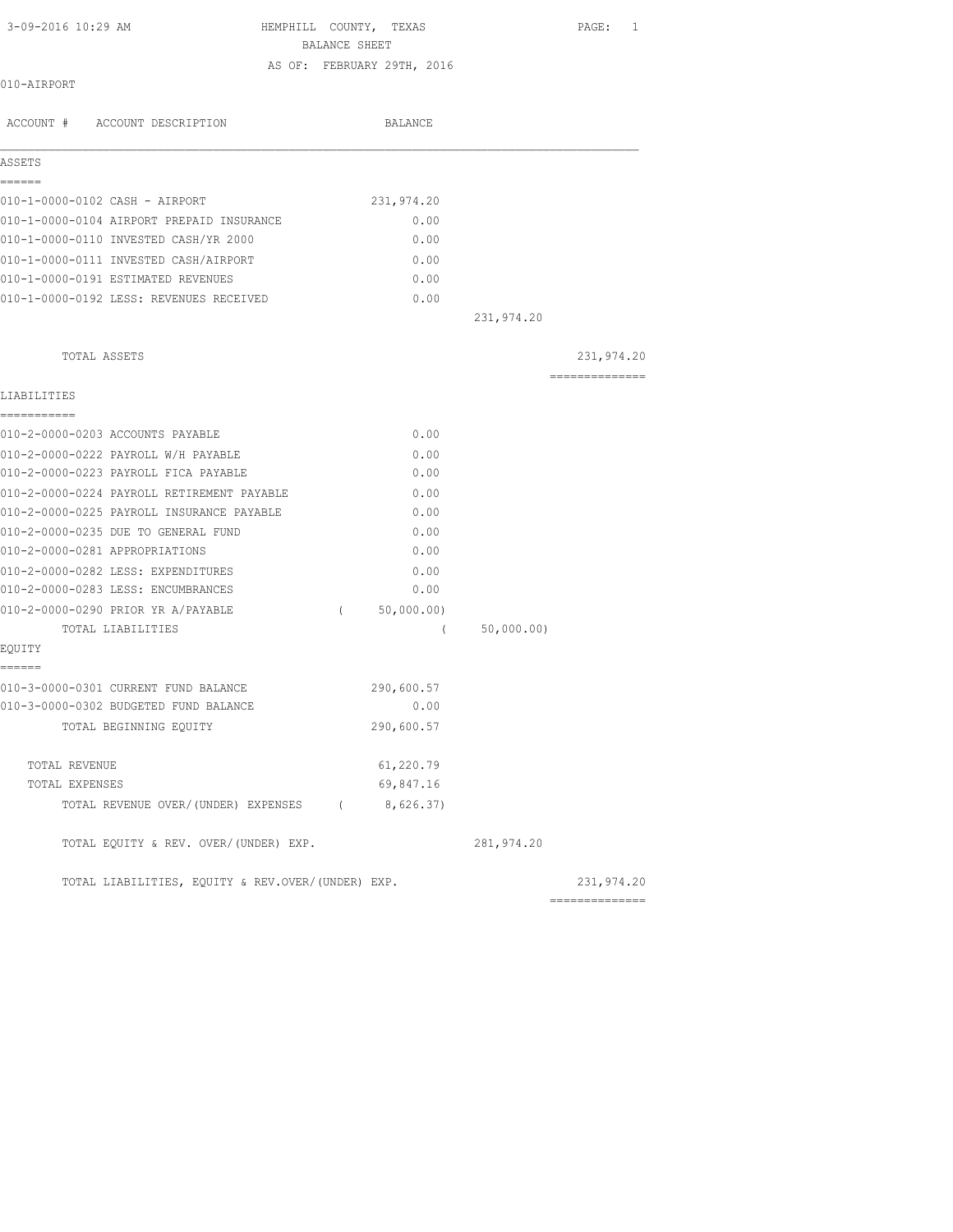| 3-09-2016 10:29 AM |
|--------------------|
|--------------------|

HEMPHILL COUNTY, TEXAS PAGE: 1 BALANCE SHEET

AS OF: FEBRUARY 29TH, 2016

010-AIRPORT

| ACCOUNT # ACCOUNT DESCRIPTION                     |            | BALANCE    |            |                 |
|---------------------------------------------------|------------|------------|------------|-----------------|
| ASSETS                                            |            |            |            |                 |
| ------<br>010-1-0000-0102 CASH - AIRPORT          |            | 231,974.20 |            |                 |
| 010-1-0000-0104 AIRPORT PREPAID INSURANCE         |            | 0.00       |            |                 |
| 010-1-0000-0110 INVESTED CASH/YR 2000             |            | 0.00       |            |                 |
| 010-1-0000-0111 INVESTED CASH/AIRPORT             |            | 0.00       |            |                 |
| 010-1-0000-0191 ESTIMATED REVENUES                |            | 0.00       |            |                 |
| 010-1-0000-0192 LESS: REVENUES RECEIVED           |            | 0.00       |            |                 |
|                                                   |            |            | 231,974.20 |                 |
| TOTAL ASSETS                                      |            |            |            | 231,974.20      |
| LIABILITIES                                       |            |            |            | --------------- |
| ===========                                       |            |            |            |                 |
| 010-2-0000-0203 ACCOUNTS PAYABLE                  |            | 0.00       |            |                 |
| 010-2-0000-0222 PAYROLL W/H PAYABLE               |            | 0.00       |            |                 |
| 010-2-0000-0223 PAYROLL FICA PAYABLE              |            | 0.00       |            |                 |
| 010-2-0000-0224 PAYROLL RETIREMENT PAYABLE        |            | 0.00       |            |                 |
| 010-2-0000-0225 PAYROLL INSURANCE PAYABLE         |            | 0.00       |            |                 |
| 010-2-0000-0235 DUE TO GENERAL FUND               |            | 0.00       |            |                 |
| 010-2-0000-0281 APPROPRIATIONS                    |            | 0.00       |            |                 |
| 010-2-0000-0282 LESS: EXPENDITURES                |            | 0.00       |            |                 |
| 010-2-0000-0283 LESS: ENCUMBRANCES                |            | 0.00       |            |                 |
| 010-2-0000-0290 PRIOR YR A/PAYABLE                | $\sqrt{2}$ | 50,000.00) |            |                 |
| TOTAL LIABILITIES                                 |            | $\left($   | 50,000.00) |                 |
| EQUITY<br>======                                  |            |            |            |                 |
| 010-3-0000-0301 CURRENT FUND BALANCE              |            | 290,600.57 |            |                 |
| 010-3-0000-0302 BUDGETED FUND BALANCE             |            | 0.00       |            |                 |
| TOTAL BEGINNING EQUITY                            |            | 290,600.57 |            |                 |
| TOTAL REVENUE                                     |            | 61,220.79  |            |                 |
| TOTAL EXPENSES                                    |            | 69,847.16  |            |                 |
| TOTAL REVENUE OVER/(UNDER) EXPENSES (8,626.37)    |            |            |            |                 |
| TOTAL EQUITY & REV. OVER/(UNDER) EXP.             |            |            | 281,974.20 |                 |
| TOTAL LIABILITIES, EQUITY & REV.OVER/(UNDER) EXP. |            |            |            | 231,974.20      |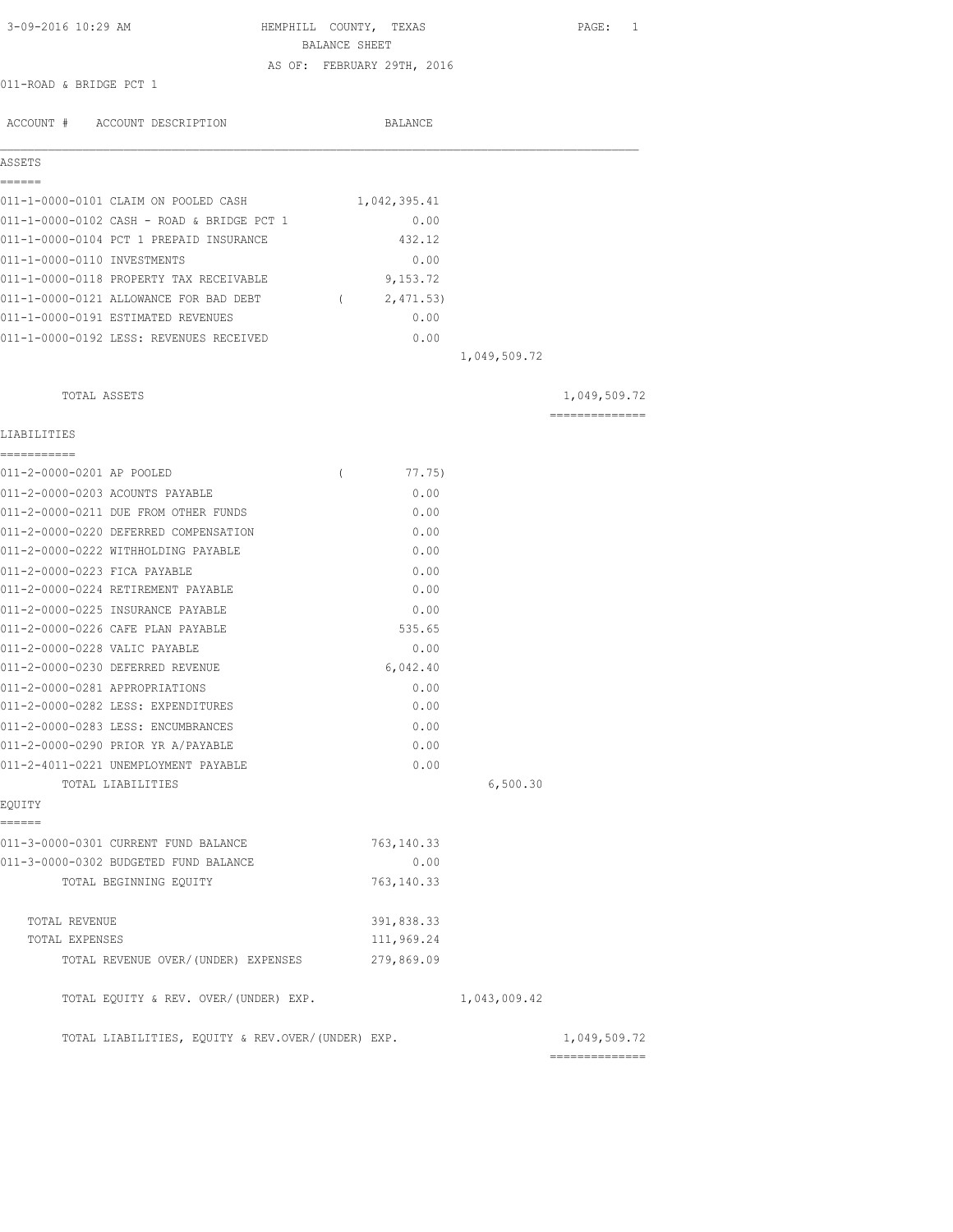| 3-09-2016 10:29 AM                                                       | BALANCE SHEET | HEMPHILL COUNTY, TEXAS     |              | PAGE: 1        |
|--------------------------------------------------------------------------|---------------|----------------------------|--------------|----------------|
|                                                                          |               | AS OF: FEBRUARY 29TH, 2016 |              |                |
| 011-ROAD & BRIDGE PCT 1                                                  |               |                            |              |                |
|                                                                          |               |                            |              |                |
| ACCOUNT # ACCOUNT DESCRIPTION                                            |               | BALANCE                    |              |                |
| ASSETS                                                                   |               |                            |              |                |
| ======<br>011-1-0000-0101 CLAIM ON POOLED CASH                           |               | 1,042,395.41               |              |                |
| 011-1-0000-0102 CASH - ROAD & BRIDGE PCT 1                               |               | 0.00                       |              |                |
| 011-1-0000-0104 PCT 1 PREPAID INSURANCE                                  |               | 432.12                     |              |                |
| 011-1-0000-0110 INVESTMENTS                                              |               | 0.00                       |              |                |
| 011-1-0000-0118 PROPERTY TAX RECEIVABLE                                  |               | 9,153.72                   |              |                |
| 011-1-0000-0121 ALLOWANCE FOR BAD DEBT                                   |               | (2, 471.53)                |              |                |
| 011-1-0000-0191 ESTIMATED REVENUES                                       |               | 0.00                       |              |                |
| 011-1-0000-0192 LESS: REVENUES RECEIVED                                  |               | 0.00                       |              |                |
|                                                                          |               |                            | 1,049,509.72 |                |
| TOTAL ASSETS                                                             |               |                            |              | 1,049,509.72   |
| LIABILITIES                                                              |               |                            |              | ============== |
| ===========                                                              |               |                            |              |                |
| 011-2-0000-0201 AP POOLED                                                | $\left($      | 77.75)                     |              |                |
| 011-2-0000-0203 ACOUNTS PAYABLE                                          |               | 0.00                       |              |                |
| 011-2-0000-0211 DUE FROM OTHER FUNDS                                     |               | 0.00                       |              |                |
| 011-2-0000-0220 DEFERRED COMPENSATION                                    |               | 0.00                       |              |                |
| 011-2-0000-0222 WITHHOLDING PAYABLE                                      |               | 0.00                       |              |                |
| 011-2-0000-0223 FICA PAYABLE                                             |               | 0.00                       |              |                |
| 011-2-0000-0224 RETIREMENT PAYABLE                                       |               | 0.00                       |              |                |
| 011-2-0000-0225 INSURANCE PAYABLE                                        |               | 0.00                       |              |                |
| 011-2-0000-0226 CAFE PLAN PAYABLE                                        |               | 535.65                     |              |                |
| 011-2-0000-0228 VALIC PAYABLE                                            |               | 0.00                       |              |                |
| 011-2-0000-0230 DEFERRED REVENUE                                         |               | 6,042.40                   |              |                |
| 011-2-0000-0281 APPROPRIATIONS                                           |               | 0.00                       |              |                |
| 011-2-0000-0282 LESS: EXPENDITURES                                       |               | 0.00                       |              |                |
| 011-2-0000-0283 LESS: ENCUMBRANCES<br>011-2-0000-0290 PRIOR YR A/PAYABLE |               | 0.00<br>0.00               |              |                |
|                                                                          |               | 0.00                       |              |                |
| 011-2-4011-0221 UNEMPLOYMENT PAYABLE<br>TOTAL LIABILITIES                |               |                            | 6,500.30     |                |
| EQUITY                                                                   |               |                            |              |                |
| ======                                                                   |               |                            |              |                |
| 011-3-0000-0301 CURRENT FUND BALANCE                                     |               | 763,140.33                 |              |                |
| 011-3-0000-0302 BUDGETED FUND BALANCE                                    |               | 0.00                       |              |                |
| TOTAL BEGINNING EQUITY                                                   |               | 763, 140.33                |              |                |
| TOTAL REVENUE                                                            |               | 391,838.33                 |              |                |
| TOTAL EXPENSES                                                           |               | 111,969.24                 |              |                |
| TOTAL REVENUE OVER/ (UNDER) EXPENSES                                     |               | 279,869.09                 |              |                |
| TOTAL EQUITY & REV. OVER/(UNDER) EXP.                                    |               |                            | 1,043,009.42 |                |
| TOTAL LIABILITIES, EQUITY & REV.OVER/(UNDER) EXP.                        |               |                            |              | 1,049,509.72   |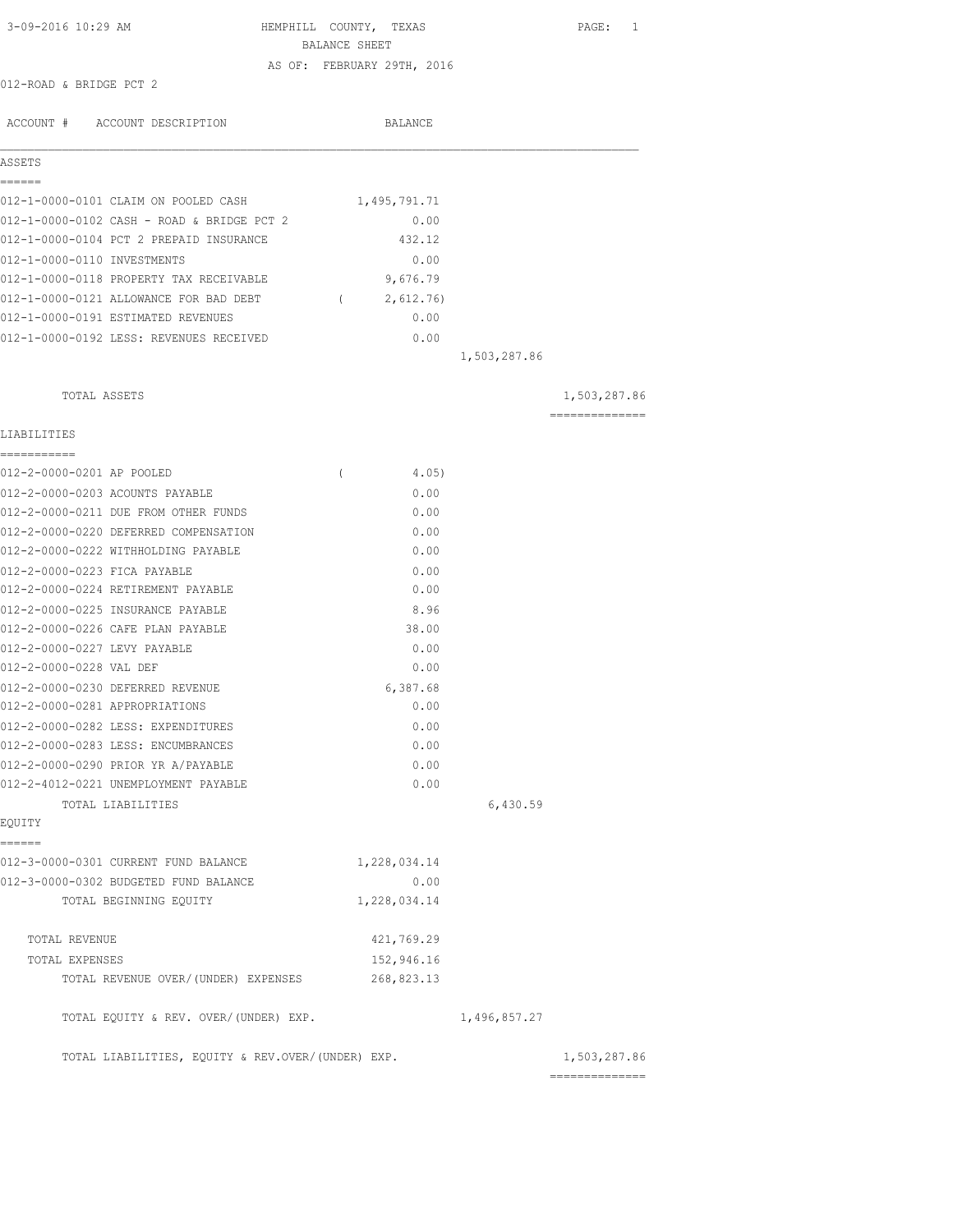| 3-09-2016 10:29 AM                                | HEMPHILL COUNTY, TEXAS                      |              | PAGE: 1                        |
|---------------------------------------------------|---------------------------------------------|--------------|--------------------------------|
|                                                   | BALANCE SHEET<br>AS OF: FEBRUARY 29TH, 2016 |              |                                |
| 012-ROAD & BRIDGE PCT 2                           |                                             |              |                                |
|                                                   |                                             |              |                                |
| ACCOUNT # ACCOUNT DESCRIPTION                     | BALANCE                                     |              |                                |
| ASSETS                                            |                                             |              |                                |
| ======                                            |                                             |              |                                |
| 012-1-0000-0101 CLAIM ON POOLED CASH              | 1,495,791.71                                |              |                                |
| 012-1-0000-0102 CASH - ROAD & BRIDGE PCT 2        | 0.00                                        |              |                                |
| 012-1-0000-0104 PCT 2 PREPAID INSURANCE           | 432.12                                      |              |                                |
| 012-1-0000-0110 INVESTMENTS                       | 0.00                                        |              |                                |
| 012-1-0000-0118 PROPERTY TAX RECEIVABLE           | 9,676.79                                    |              |                                |
| 012-1-0000-0121 ALLOWANCE FOR BAD DEBT            | (2, 612.76)                                 |              |                                |
| 012-1-0000-0191 ESTIMATED REVENUES                | 0.00                                        |              |                                |
| 012-1-0000-0192 LESS: REVENUES RECEIVED           | 0.00                                        | 1,503,287.86 |                                |
|                                                   |                                             |              |                                |
| TOTAL ASSETS                                      |                                             |              | 1,503,287.86                   |
| LIABILITIES                                       |                                             |              | ==============                 |
| ___________                                       |                                             |              |                                |
| 012-2-0000-0201 AP POOLED                         | 4.05)<br>$\left($                           |              |                                |
| 012-2-0000-0203 ACOUNTS PAYABLE                   | 0.00                                        |              |                                |
| 012-2-0000-0211 DUE FROM OTHER FUNDS              | 0.00                                        |              |                                |
| 012-2-0000-0220 DEFERRED COMPENSATION             | 0.00                                        |              |                                |
| 012-2-0000-0222 WITHHOLDING PAYABLE               | 0.00                                        |              |                                |
| 012-2-0000-0223 FICA PAYABLE                      | 0.00                                        |              |                                |
| 012-2-0000-0224 RETIREMENT PAYABLE                | 0.00                                        |              |                                |
| 012-2-0000-0225 INSURANCE PAYABLE                 | 8.96                                        |              |                                |
| 012-2-0000-0226 CAFE PLAN PAYABLE                 | 38.00                                       |              |                                |
| 012-2-0000-0227 LEVY PAYABLE                      | 0.00                                        |              |                                |
| 012-2-0000-0228 VAL DEF                           | 0.00                                        |              |                                |
| 012-2-0000-0230 DEFERRED REVENUE                  | 6,387.68                                    |              |                                |
| 012-2-0000-0281 APPROPRIATIONS                    | 0.00                                        |              |                                |
| 012-2-0000-0282 LESS: EXPENDITURES                | 0.00                                        |              |                                |
| 012-2-0000-0283 LESS: ENCUMBRANCES                | 0.00                                        |              |                                |
| 012-2-0000-0290 PRIOR YR A/PAYABLE                | 0.00                                        |              |                                |
| 012-2-4012-0221 UNEMPLOYMENT PAYABLE              | 0.00                                        |              |                                |
| TOTAL LIABILITIES<br>EQUITY                       |                                             | 6,430.59     |                                |
| ------                                            |                                             |              |                                |
| 012-3-0000-0301 CURRENT FUND BALANCE              | 1,228,034.14                                |              |                                |
| 012-3-0000-0302 BUDGETED FUND BALANCE             | 0.00                                        |              |                                |
| TOTAL BEGINNING EQUITY                            | 1,228,034.14                                |              |                                |
| TOTAL REVENUE                                     | 421,769.29                                  |              |                                |
| TOTAL EXPENSES                                    | 152,946.16                                  |              |                                |
| TOTAL REVENUE OVER/(UNDER) EXPENSES               | 268,823.13                                  |              |                                |
| TOTAL EQUITY & REV. OVER/(UNDER) EXP.             |                                             | 1,496,857.27 |                                |
| TOTAL LIABILITIES, EQUITY & REV.OVER/(UNDER) EXP. |                                             |              | 1,503,287.86<br>-------------- |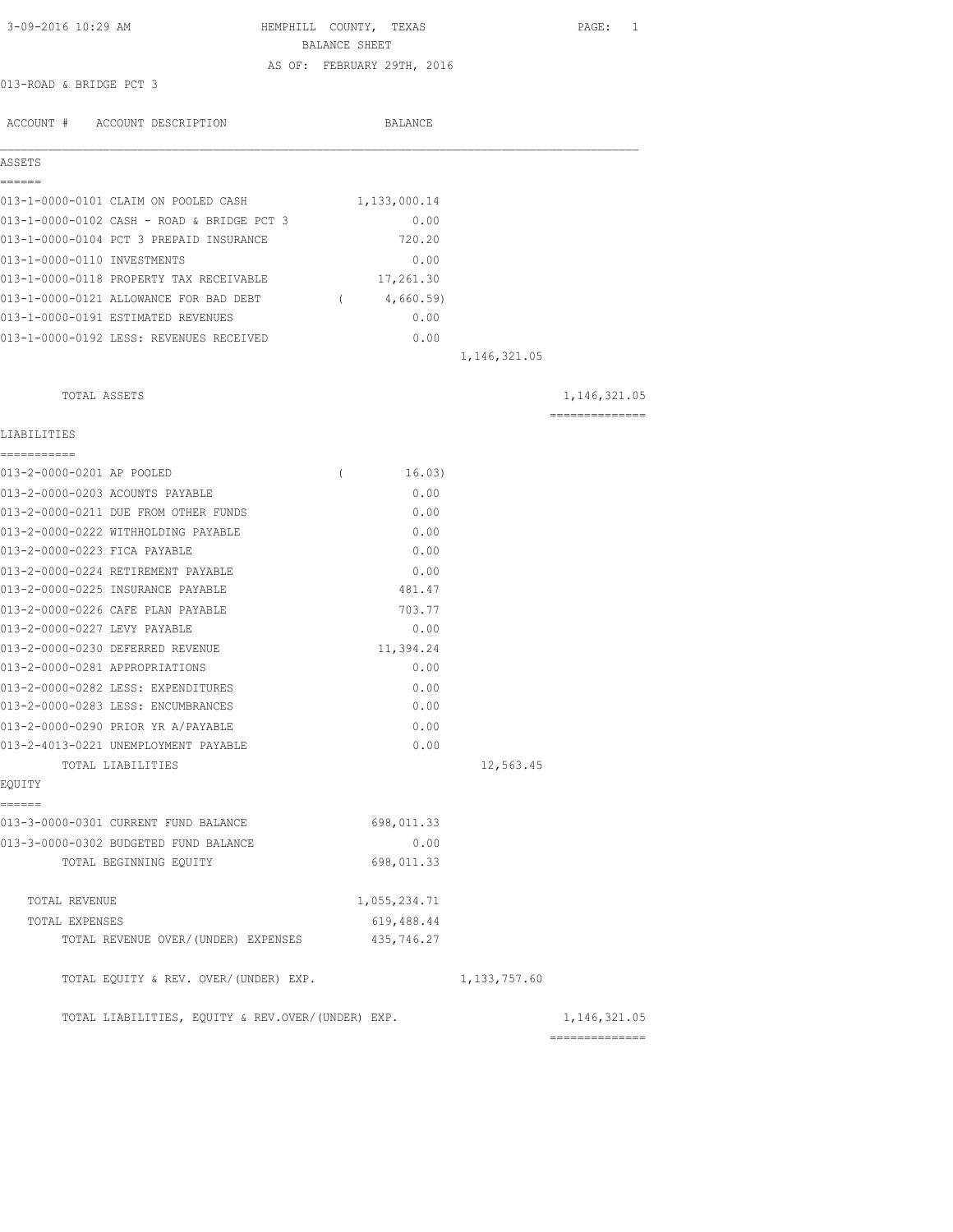| 3-09-2016 10:29 AM                                | HEMPHILL COUNTY, TEXAS     | PAGE: 1         |
|---------------------------------------------------|----------------------------|-----------------|
|                                                   | BALANCE SHEET              |                 |
|                                                   | AS OF: FEBRUARY 29TH, 2016 |                 |
| 013-ROAD & BRIDGE PCT 3                           |                            |                 |
| ACCOUNT # ACCOUNT DESCRIPTION                     | BALANCE                    |                 |
|                                                   |                            |                 |
| ASSETS<br>------                                  |                            |                 |
| 013-1-0000-0101 CLAIM ON POOLED CASH              | 1,133,000.14               |                 |
| 013-1-0000-0102 CASH - ROAD & BRIDGE PCT 3        | 0.00                       |                 |
| 013-1-0000-0104 PCT 3 PREPAID INSURANCE           | 720.20                     |                 |
| 013-1-0000-0110 INVESTMENTS                       | 0.00                       |                 |
| 013-1-0000-0118 PROPERTY TAX RECEIVABLE           | 17,261.30                  |                 |
| 013-1-0000-0121 ALLOWANCE FOR BAD DEBT            | (4,660.59)                 |                 |
| 013-1-0000-0191 ESTIMATED REVENUES                | 0.00                       |                 |
| 013-1-0000-0192 LESS: REVENUES RECEIVED           | 0.00                       |                 |
|                                                   | 1, 146, 321.05             |                 |
| TOTAL ASSETS                                      |                            | 1, 146, 321.05  |
|                                                   |                            | --------------- |
| LIABILITIES<br>===========                        |                            |                 |
| 013-2-0000-0201 AP POOLED                         | 16.03)<br>$\left($         |                 |
| 013-2-0000-0203 ACOUNTS PAYABLE                   | 0.00                       |                 |
| 013-2-0000-0211 DUE FROM OTHER FUNDS              | 0.00                       |                 |
| 013-2-0000-0222 WITHHOLDING PAYABLE               | 0.00                       |                 |
| 013-2-0000-0223 FICA PAYABLE                      | 0.00                       |                 |
| 013-2-0000-0224 RETIREMENT PAYABLE                | 0.00                       |                 |
| 013-2-0000-0225 INSURANCE PAYABLE                 | 481.47                     |                 |
| 013-2-0000-0226 CAFE PLAN PAYABLE                 | 703.77                     |                 |
| 013-2-0000-0227 LEVY PAYABLE                      | 0.00                       |                 |
| 013-2-0000-0230 DEFERRED REVENUE                  | 11,394.24                  |                 |
| 013-2-0000-0281 APPROPRIATIONS                    | 0.00                       |                 |
| 013-2-0000-0282 LESS: EXPENDITURES                | 0.00                       |                 |
| 013-2-0000-0283 LESS: ENCUMBRANCES                | 0.00                       |                 |
| 013-2-0000-0290 PRIOR YR A/PAYABLE                | 0.00                       |                 |
| 013-2-4013-0221 UNEMPLOYMENT PAYABLE              | 0.00                       |                 |
| TOTAL LIABILITIES                                 |                            | 12,563.45       |
| EQUITY                                            |                            |                 |
| ======<br>013-3-0000-0301 CURRENT FUND BALANCE    | 698,011.33                 |                 |
| 013-3-0000-0302 BUDGETED FUND BALANCE             | 0.00                       |                 |
| TOTAL BEGINNING EQUITY                            | 698,011.33                 |                 |
| TOTAL REVENUE                                     | 1,055,234.71               |                 |
| TOTAL EXPENSES                                    | 619,488.44                 |                 |
| TOTAL REVENUE OVER/ (UNDER) EXPENSES              | 435,746.27                 |                 |
| TOTAL EQUITY & REV. OVER/(UNDER) EXP.             | 1, 133, 757.60             |                 |
| TOTAL LIABILITIES, EQUITY & REV.OVER/(UNDER) EXP. |                            | 1, 146, 321.05  |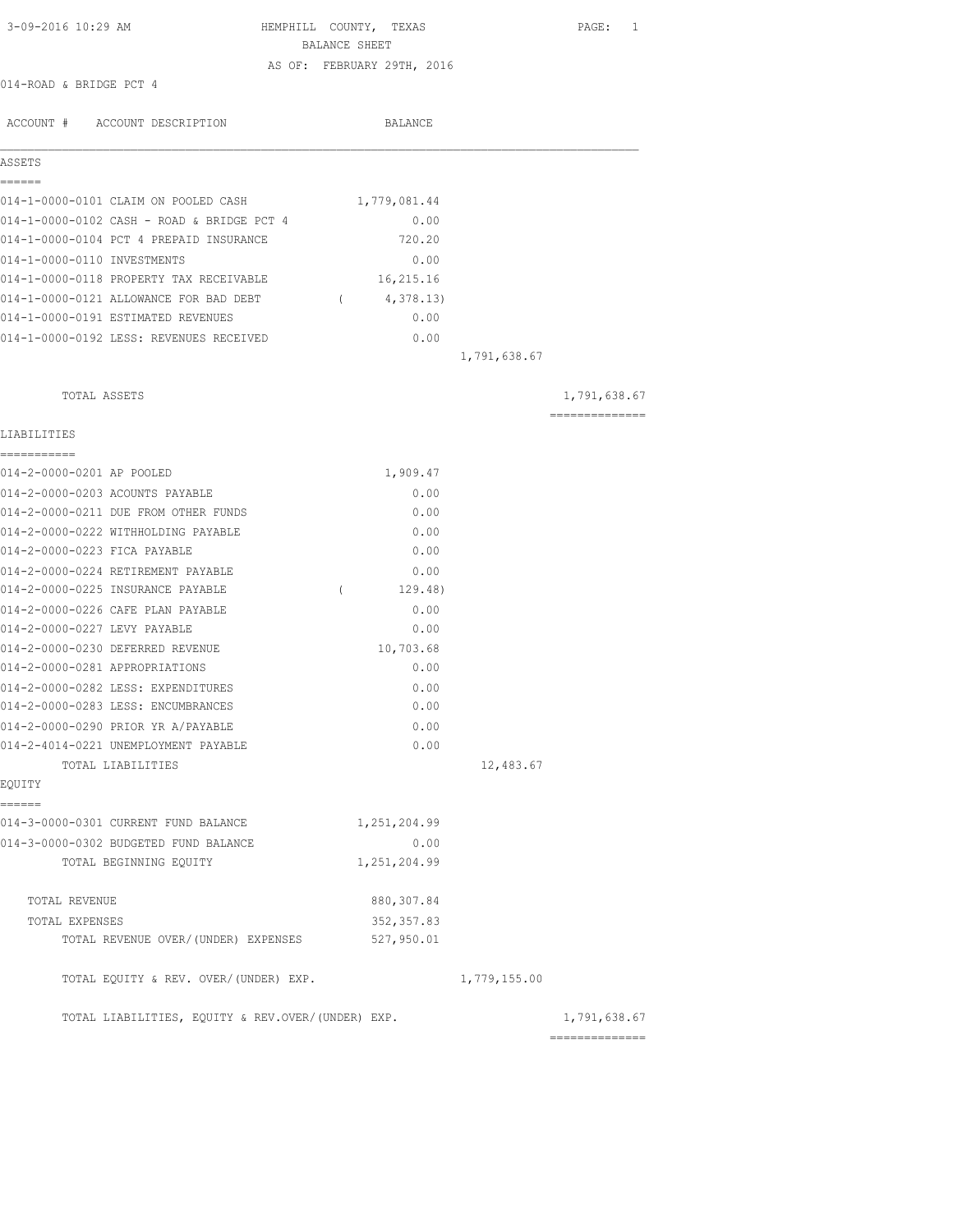| 3-09-2016 10:29 AM                                | HEMPHILL COUNTY, TEXAS<br>BALANCE SHEET | PAGE: 1                                                                                                                                                                                                                                                                                                                                                                                                                                                                                |
|---------------------------------------------------|-----------------------------------------|----------------------------------------------------------------------------------------------------------------------------------------------------------------------------------------------------------------------------------------------------------------------------------------------------------------------------------------------------------------------------------------------------------------------------------------------------------------------------------------|
|                                                   |                                         |                                                                                                                                                                                                                                                                                                                                                                                                                                                                                        |
| 014-ROAD & BRIDGE PCT 4                           | AS OF: FEBRUARY 29TH, 2016              |                                                                                                                                                                                                                                                                                                                                                                                                                                                                                        |
|                                                   |                                         |                                                                                                                                                                                                                                                                                                                                                                                                                                                                                        |
| ACCOUNT # ACCOUNT DESCRIPTION                     | BALANCE                                 |                                                                                                                                                                                                                                                                                                                                                                                                                                                                                        |
| ASSETS                                            |                                         |                                                                                                                                                                                                                                                                                                                                                                                                                                                                                        |
| ======                                            |                                         |                                                                                                                                                                                                                                                                                                                                                                                                                                                                                        |
| 014-1-0000-0101 CLAIM ON POOLED CASH              | 1,779,081.44                            |                                                                                                                                                                                                                                                                                                                                                                                                                                                                                        |
| 014-1-0000-0102 CASH - ROAD & BRIDGE PCT 4        | 0.00                                    |                                                                                                                                                                                                                                                                                                                                                                                                                                                                                        |
| 014-1-0000-0104 PCT 4 PREPAID INSURANCE           | 720.20                                  |                                                                                                                                                                                                                                                                                                                                                                                                                                                                                        |
| 014-1-0000-0110 INVESTMENTS                       | 0.00                                    |                                                                                                                                                                                                                                                                                                                                                                                                                                                                                        |
| 014-1-0000-0118 PROPERTY TAX RECEIVABLE           | 16,215.16                               |                                                                                                                                                                                                                                                                                                                                                                                                                                                                                        |
| 014-1-0000-0121 ALLOWANCE FOR BAD DEBT            | 4,378.13)<br>$\sqrt{2}$                 |                                                                                                                                                                                                                                                                                                                                                                                                                                                                                        |
| 014-1-0000-0191 ESTIMATED REVENUES                | 0.00                                    |                                                                                                                                                                                                                                                                                                                                                                                                                                                                                        |
| 014-1-0000-0192 LESS: REVENUES RECEIVED           | 0.00                                    |                                                                                                                                                                                                                                                                                                                                                                                                                                                                                        |
|                                                   | 1,791,638.67                            |                                                                                                                                                                                                                                                                                                                                                                                                                                                                                        |
| TOTAL ASSETS                                      |                                         | 1,791,638.67                                                                                                                                                                                                                                                                                                                                                                                                                                                                           |
|                                                   |                                         | $\begin{array}{cccccccccccccc} \multicolumn{2}{c}{} & \multicolumn{2}{c}{} & \multicolumn{2}{c}{} & \multicolumn{2}{c}{} & \multicolumn{2}{c}{} & \multicolumn{2}{c}{} & \multicolumn{2}{c}{} & \multicolumn{2}{c}{} & \multicolumn{2}{c}{} & \multicolumn{2}{c}{} & \multicolumn{2}{c}{} & \multicolumn{2}{c}{} & \multicolumn{2}{c}{} & \multicolumn{2}{c}{} & \multicolumn{2}{c}{} & \multicolumn{2}{c}{} & \multicolumn{2}{c}{} & \multicolumn{2}{c}{} & \multicolumn{2}{c}{} & \$ |
| LIABILITIES<br>-----------                        |                                         |                                                                                                                                                                                                                                                                                                                                                                                                                                                                                        |
| 014-2-0000-0201 AP POOLED                         | 1,909.47                                |                                                                                                                                                                                                                                                                                                                                                                                                                                                                                        |
| 014-2-0000-0203 ACOUNTS PAYABLE                   | 0.00                                    |                                                                                                                                                                                                                                                                                                                                                                                                                                                                                        |
| 014-2-0000-0211 DUE FROM OTHER FUNDS              | 0.00                                    |                                                                                                                                                                                                                                                                                                                                                                                                                                                                                        |
| 014-2-0000-0222 WITHHOLDING PAYABLE               | 0.00                                    |                                                                                                                                                                                                                                                                                                                                                                                                                                                                                        |
| 014-2-0000-0223 FICA PAYABLE                      | 0.00                                    |                                                                                                                                                                                                                                                                                                                                                                                                                                                                                        |
| 014-2-0000-0224 RETIREMENT PAYABLE                | 0.00                                    |                                                                                                                                                                                                                                                                                                                                                                                                                                                                                        |
| 014-2-0000-0225 INSURANCE PAYABLE                 | 129.48)<br>$\left($                     |                                                                                                                                                                                                                                                                                                                                                                                                                                                                                        |
| 014-2-0000-0226 CAFE PLAN PAYABLE                 | 0.00                                    |                                                                                                                                                                                                                                                                                                                                                                                                                                                                                        |
| 014-2-0000-0227 LEVY PAYABLE                      | 0.00                                    |                                                                                                                                                                                                                                                                                                                                                                                                                                                                                        |
| 014-2-0000-0230 DEFERRED REVENUE                  | 10,703.68                               |                                                                                                                                                                                                                                                                                                                                                                                                                                                                                        |
| 014-2-0000-0281 APPROPRIATIONS                    | 0.00                                    |                                                                                                                                                                                                                                                                                                                                                                                                                                                                                        |
| 014-2-0000-0282 LESS: EXPENDITURES                | 0.00                                    |                                                                                                                                                                                                                                                                                                                                                                                                                                                                                        |
| 014-2-0000-0283 LESS: ENCUMBRANCES                | 0.00                                    |                                                                                                                                                                                                                                                                                                                                                                                                                                                                                        |
| 014-2-0000-0290 PRIOR YR A/PAYABLE                | 0.00                                    |                                                                                                                                                                                                                                                                                                                                                                                                                                                                                        |
| 014-2-4014-0221 UNEMPLOYMENT PAYABLE              | 0.00                                    |                                                                                                                                                                                                                                                                                                                                                                                                                                                                                        |
| TOTAL LIABILITIES                                 |                                         | 12,483.67                                                                                                                                                                                                                                                                                                                                                                                                                                                                              |
| EOUITY                                            |                                         |                                                                                                                                                                                                                                                                                                                                                                                                                                                                                        |
| ======<br>014-3-0000-0301 CURRENT FUND BALANCE    | 1,251,204.99                            |                                                                                                                                                                                                                                                                                                                                                                                                                                                                                        |
| 014-3-0000-0302 BUDGETED FUND BALANCE             | 0.00                                    |                                                                                                                                                                                                                                                                                                                                                                                                                                                                                        |
| TOTAL BEGINNING EQUITY                            | 1,251,204.99                            |                                                                                                                                                                                                                                                                                                                                                                                                                                                                                        |
| TOTAL REVENUE                                     | 880, 307.84                             |                                                                                                                                                                                                                                                                                                                                                                                                                                                                                        |
| TOTAL EXPENSES                                    | 352, 357.83                             |                                                                                                                                                                                                                                                                                                                                                                                                                                                                                        |
| TOTAL REVENUE OVER/ (UNDER) EXPENSES              | 527,950.01                              |                                                                                                                                                                                                                                                                                                                                                                                                                                                                                        |
| TOTAL EQUITY & REV. OVER/(UNDER) EXP.             | 1,779,155.00                            |                                                                                                                                                                                                                                                                                                                                                                                                                                                                                        |
| TOTAL LIABILITIES, EQUITY & REV.OVER/(UNDER) EXP. |                                         | 1,791,638.67<br>==============                                                                                                                                                                                                                                                                                                                                                                                                                                                         |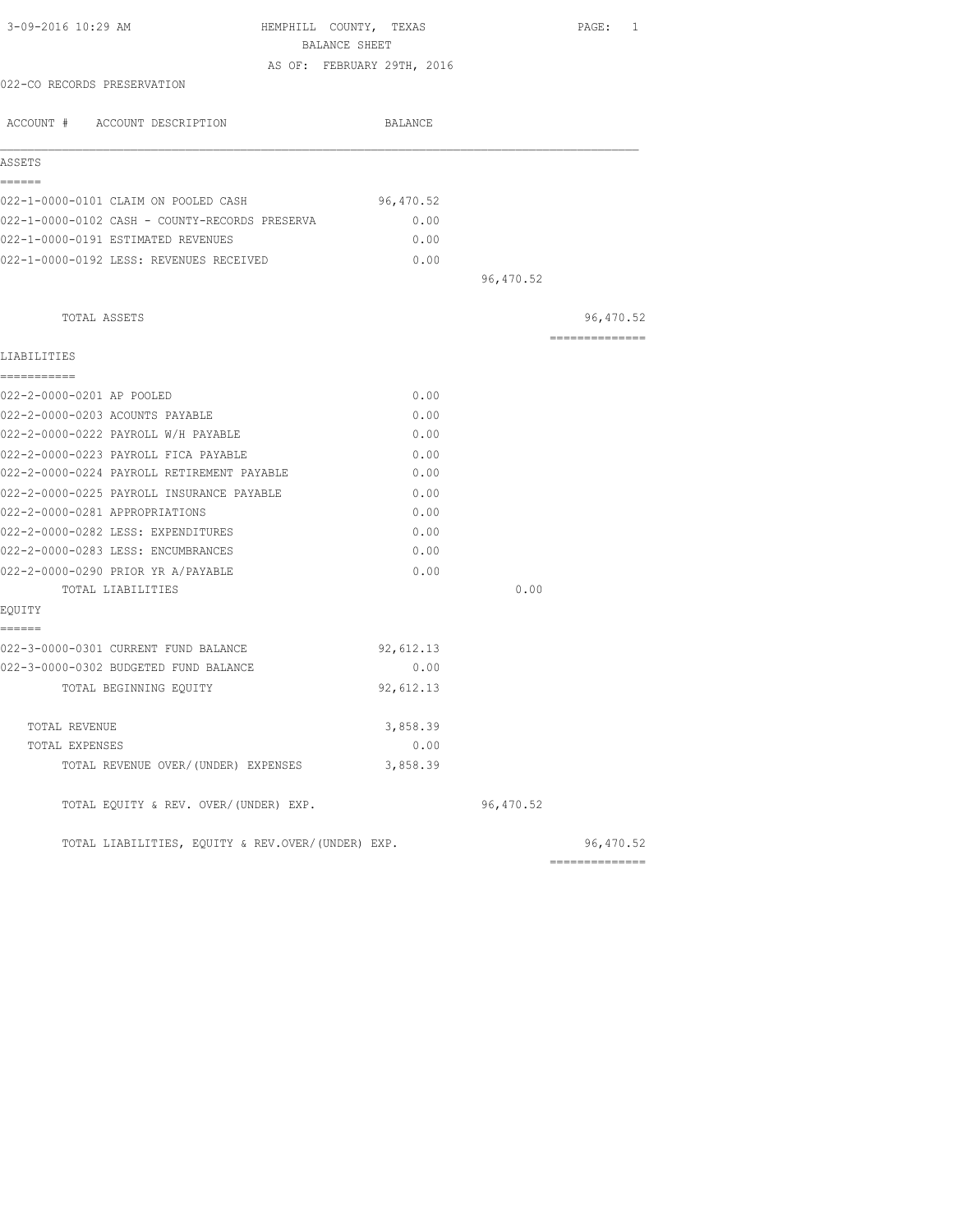|           |                                                                                                                | PAGE: 1                                           |
|-----------|----------------------------------------------------------------------------------------------------------------|---------------------------------------------------|
|           |                                                                                                                |                                                   |
|           |                                                                                                                |                                                   |
|           |                                                                                                                |                                                   |
| BALANCE   |                                                                                                                |                                                   |
|           |                                                                                                                |                                                   |
| 96,470.52 |                                                                                                                |                                                   |
| 0.00      |                                                                                                                |                                                   |
| 0.00      |                                                                                                                |                                                   |
| 0.00      |                                                                                                                |                                                   |
|           | 96,470.52                                                                                                      |                                                   |
|           |                                                                                                                | 96,470.52                                         |
|           |                                                                                                                | --------------                                    |
|           |                                                                                                                |                                                   |
| 0.00      |                                                                                                                |                                                   |
| 0.00      |                                                                                                                |                                                   |
| 0.00      |                                                                                                                |                                                   |
| 0.00      |                                                                                                                |                                                   |
| 0.00      |                                                                                                                |                                                   |
| 0.00      |                                                                                                                |                                                   |
| 0.00      |                                                                                                                |                                                   |
| 0.00      |                                                                                                                |                                                   |
| 0.00      |                                                                                                                |                                                   |
| 0.00      |                                                                                                                |                                                   |
|           | 0.00                                                                                                           |                                                   |
|           |                                                                                                                |                                                   |
|           |                                                                                                                |                                                   |
|           |                                                                                                                |                                                   |
| 92,612.13 |                                                                                                                |                                                   |
|           |                                                                                                                |                                                   |
|           |                                                                                                                |                                                   |
| 3,858.39  |                                                                                                                |                                                   |
|           | 96,470.52                                                                                                      |                                                   |
|           |                                                                                                                | 96,470.52                                         |
|           | HEMPHILL COUNTY, TEXAS<br>BALANCE SHEET<br>AS OF: FEBRUARY 29TH, 2016<br>92,612.13<br>0.00<br>3,858.39<br>0.00 | TOTAL LIABILITIES, EQUITY & REV.OVER/(UNDER) EXP. |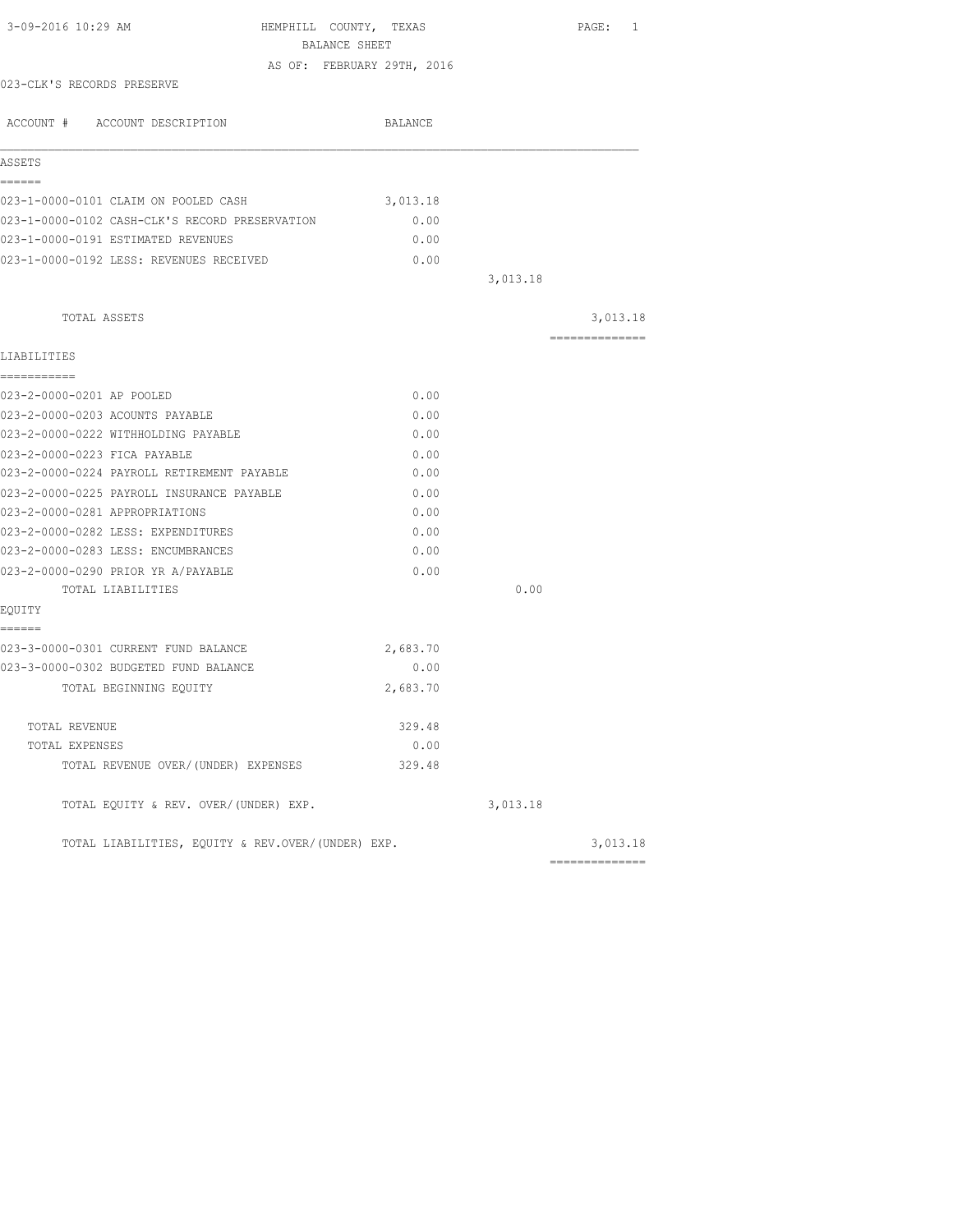|                                                                            | BALANCE SHEET              |          |                |
|----------------------------------------------------------------------------|----------------------------|----------|----------------|
| 023-CLK'S RECORDS PRESERVE                                                 | AS OF: FEBRUARY 29TH, 2016 |          |                |
|                                                                            |                            |          |                |
| ACCOUNT # ACCOUNT DESCRIPTION                                              | BALANCE                    |          |                |
|                                                                            |                            |          |                |
| ASSETS                                                                     |                            |          |                |
| ======<br>023-1-0000-0101 CLAIM ON POOLED CASH                             | 3,013.18                   |          |                |
| 023-1-0000-0102 CASH-CLK'S RECORD PRESERVATION                             | 0.00                       |          |                |
| 023-1-0000-0191 ESTIMATED REVENUES                                         | 0.00                       |          |                |
| 023-1-0000-0192 LESS: REVENUES RECEIVED                                    | 0.00                       |          |                |
|                                                                            |                            | 3,013.18 |                |
|                                                                            |                            |          |                |
| TOTAL ASSETS                                                               |                            |          | 3,013.18       |
|                                                                            |                            |          | -------------- |
| LIABILITIES                                                                |                            |          |                |
| ===========<br>023-2-0000-0201 AP POOLED                                   | 0.00                       |          |                |
|                                                                            |                            |          |                |
| 023-2-0000-0203 ACOUNTS PAYABLE<br>023-2-0000-0222 WITHHOLDING PAYABLE     | 0.00<br>0.00               |          |                |
|                                                                            |                            |          |                |
| 023-2-0000-0223 FICA PAYABLE<br>023-2-0000-0224 PAYROLL RETIREMENT PAYABLE | 0.00                       |          |                |
|                                                                            | 0.00                       |          |                |
| 023-2-0000-0225 PAYROLL INSURANCE PAYABLE                                  | 0.00                       |          |                |
| 023-2-0000-0281 APPROPRIATIONS                                             | 0.00                       |          |                |
| 023-2-0000-0282 LESS: EXPENDITURES                                         | 0.00                       |          |                |
| 023-2-0000-0283 LESS: ENCUMBRANCES                                         | 0.00                       |          |                |
| 023-2-0000-0290 PRIOR YR A/PAYABLE                                         | 0.00                       |          |                |
| TOTAL LIABILITIES                                                          |                            | 0.00     |                |
| EQUITY<br>======                                                           |                            |          |                |
| 023-3-0000-0301 CURRENT FUND BALANCE                                       | 2,683.70                   |          |                |
| 023-3-0000-0302 BUDGETED FUND BALANCE                                      | 0.00                       |          |                |
| TOTAL BEGINNING EOUITY                                                     | 2,683.70                   |          |                |
|                                                                            |                            |          |                |
| TOTAL REVENUE                                                              | 329.48                     |          |                |
| TOTAL EXPENSES                                                             | 0.00                       |          |                |
| TOTAL REVENUE OVER/(UNDER) EXPENSES                                        | 329.48                     |          |                |
| TOTAL EQUITY & REV. OVER/(UNDER) EXP.                                      |                            | 3,013.18 |                |
| TOTAL LIABILITIES, EOUITY & REV.OVER/(UNDER) EXP.                          |                            |          | 3,013.18       |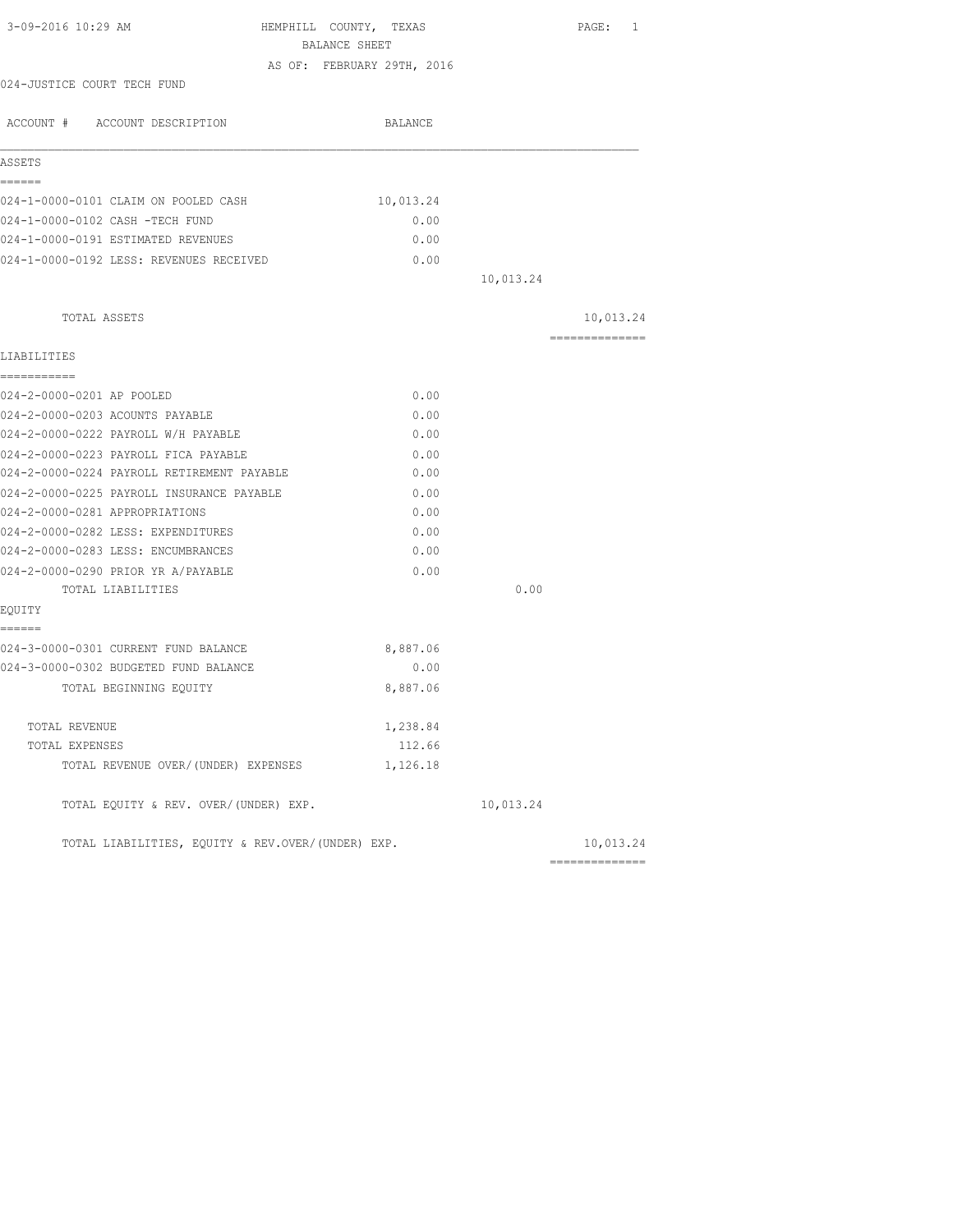| 3-09-2016 10:29 AM<br>HEMPHILL COUNTY, TEXAS      |                            |           | PAGE: 1        |
|---------------------------------------------------|----------------------------|-----------|----------------|
| BALANCE SHEET                                     |                            |           |                |
|                                                   | AS OF: FEBRUARY 29TH, 2016 |           |                |
| 024-JUSTICE COURT TECH FUND                       |                            |           |                |
| ACCOUNT # ACCOUNT DESCRIPTION                     | BALANCE                    |           |                |
| ASSETS                                            |                            |           |                |
| ------<br>024-1-0000-0101 CLAIM ON POOLED CASH    | 10,013.24                  |           |                |
| 024-1-0000-0102 CASH -TECH FUND                   | 0.00                       |           |                |
| 024-1-0000-0191 ESTIMATED REVENUES                | 0.00                       |           |                |
| 024-1-0000-0192 LESS: REVENUES RECEIVED           | 0.00                       |           |                |
|                                                   |                            | 10,013.24 |                |
| TOTAL ASSETS                                      |                            |           | 10,013.24      |
| LIABILITIES                                       |                            |           | ============== |
| ===========                                       |                            |           |                |
| 024-2-0000-0201 AP POOLED                         | 0.00                       |           |                |
| 024-2-0000-0203 ACOUNTS PAYABLE                   | 0.00                       |           |                |
| 024-2-0000-0222 PAYROLL W/H PAYABLE               | 0.00                       |           |                |
| 024-2-0000-0223 PAYROLL FICA PAYABLE              | 0.00                       |           |                |
| 024-2-0000-0224 PAYROLL RETIREMENT PAYABLE        | 0.00                       |           |                |
| 024-2-0000-0225 PAYROLL INSURANCE PAYABLE         | 0.00                       |           |                |
| 024-2-0000-0281 APPROPRIATIONS                    | 0.00                       |           |                |
| 024-2-0000-0282 LESS: EXPENDITURES                | 0.00                       |           |                |
| 024-2-0000-0283 LESS: ENCUMBRANCES                | 0.00                       |           |                |
| 024-2-0000-0290 PRIOR YR A/PAYABLE                | 0.00                       |           |                |
| TOTAL LIABILITIES                                 |                            | 0.00      |                |
| EQUITY                                            |                            |           |                |
| ------<br>024-3-0000-0301 CURRENT FUND BALANCE    | 8,887.06                   |           |                |
| 024-3-0000-0302 BUDGETED FUND BALANCE             | 0.00                       |           |                |
| TOTAL BEGINNING EOUITY                            | 8,887.06                   |           |                |
| TOTAL REVENUE                                     | 1,238.84                   |           |                |
| TOTAL EXPENSES                                    | 112.66                     |           |                |
| TOTAL REVENUE OVER/(UNDER) EXPENSES               | 1,126.18                   |           |                |
| TOTAL EQUITY & REV. OVER/(UNDER) EXP.             |                            | 10,013.24 |                |
| TOTAL LIABILITIES, EQUITY & REV.OVER/(UNDER) EXP. |                            |           | 10,013.24      |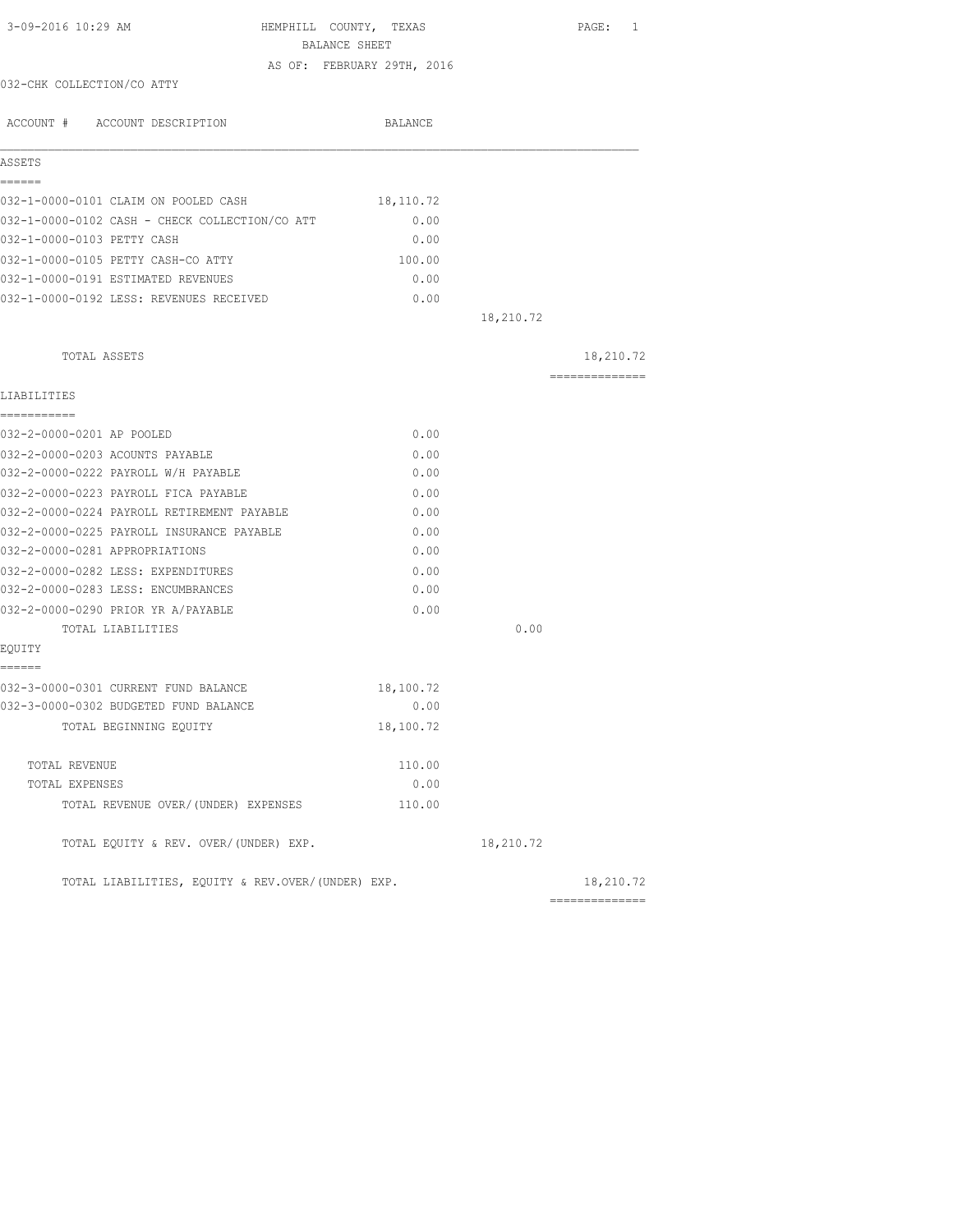| 3-09-2016 10:29 AM                                | HEMPHILL COUNTY, TEXAS<br>BALANCE SHEET |           | PAGE: 1                      |
|---------------------------------------------------|-----------------------------------------|-----------|------------------------------|
|                                                   | AS OF: FEBRUARY 29TH, 2016              |           |                              |
| 032-CHK COLLECTION/CO ATTY                        |                                         |           |                              |
| ACCOUNT # ACCOUNT DESCRIPTION                     | BALANCE                                 |           |                              |
| ASSETS                                            |                                         |           |                              |
| ------                                            |                                         |           |                              |
| 032-1-0000-0101 CLAIM ON POOLED CASH              | 18,110.72                               |           |                              |
| 032-1-0000-0102 CASH - CHECK COLLECTION/CO ATT    | 0.00                                    |           |                              |
| 032-1-0000-0103 PETTY CASH                        | 0.00                                    |           |                              |
| 032-1-0000-0105 PETTY CASH-CO ATTY                | 100.00                                  |           |                              |
| 032-1-0000-0191 ESTIMATED REVENUES                | 0.00                                    |           |                              |
| 032-1-0000-0192 LESS: REVENUES RECEIVED           | 0.00                                    |           |                              |
|                                                   |                                         | 18,210.72 |                              |
| TOTAL ASSETS                                      |                                         |           | 18,210.72                    |
| LIABILITIES                                       |                                         |           | ==============               |
| -----------                                       |                                         |           |                              |
| 032-2-0000-0201 AP POOLED                         | 0.00                                    |           |                              |
| 032-2-0000-0203 ACOUNTS PAYABLE                   | 0.00                                    |           |                              |
| 032-2-0000-0222 PAYROLL W/H PAYABLE               | 0.00                                    |           |                              |
| 032-2-0000-0223 PAYROLL FICA PAYABLE              | 0.00                                    |           |                              |
| 032-2-0000-0224 PAYROLL RETIREMENT PAYABLE        | 0.00                                    |           |                              |
| 032-2-0000-0225 PAYROLL INSURANCE PAYABLE         | 0.00                                    |           |                              |
| 032-2-0000-0281 APPROPRIATIONS                    | 0.00                                    |           |                              |
| 032-2-0000-0282 LESS: EXPENDITURES                | 0.00                                    |           |                              |
| 032-2-0000-0283 LESS: ENCUMBRANCES                | 0.00                                    |           |                              |
| 032-2-0000-0290 PRIOR YR A/PAYABLE                | 0.00                                    |           |                              |
| TOTAL LIABILITIES                                 |                                         | 0.00      |                              |
| EOUITY                                            |                                         |           |                              |
| ------                                            |                                         |           |                              |
| 032-3-0000-0301 CURRENT FUND BALANCE              | 18,100.72                               |           |                              |
| 032-3-0000-0302 BUDGETED FUND BALANCE             | 0.00                                    |           |                              |
| TOTAL BEGINNING EQUITY                            | 18,100.72                               |           |                              |
| TOTAL REVENUE                                     | 110.00                                  |           |                              |
| TOTAL EXPENSES                                    | 0.00                                    |           |                              |
| TOTAL REVENUE OVER/(UNDER) EXPENSES               | 110.00                                  |           |                              |
| TOTAL EQUITY & REV. OVER/(UNDER) EXP.             |                                         | 18,210.72 |                              |
| TOTAL LIABILITIES, EQUITY & REV.OVER/(UNDER) EXP. |                                         |           | 18,210.72<br>--------------- |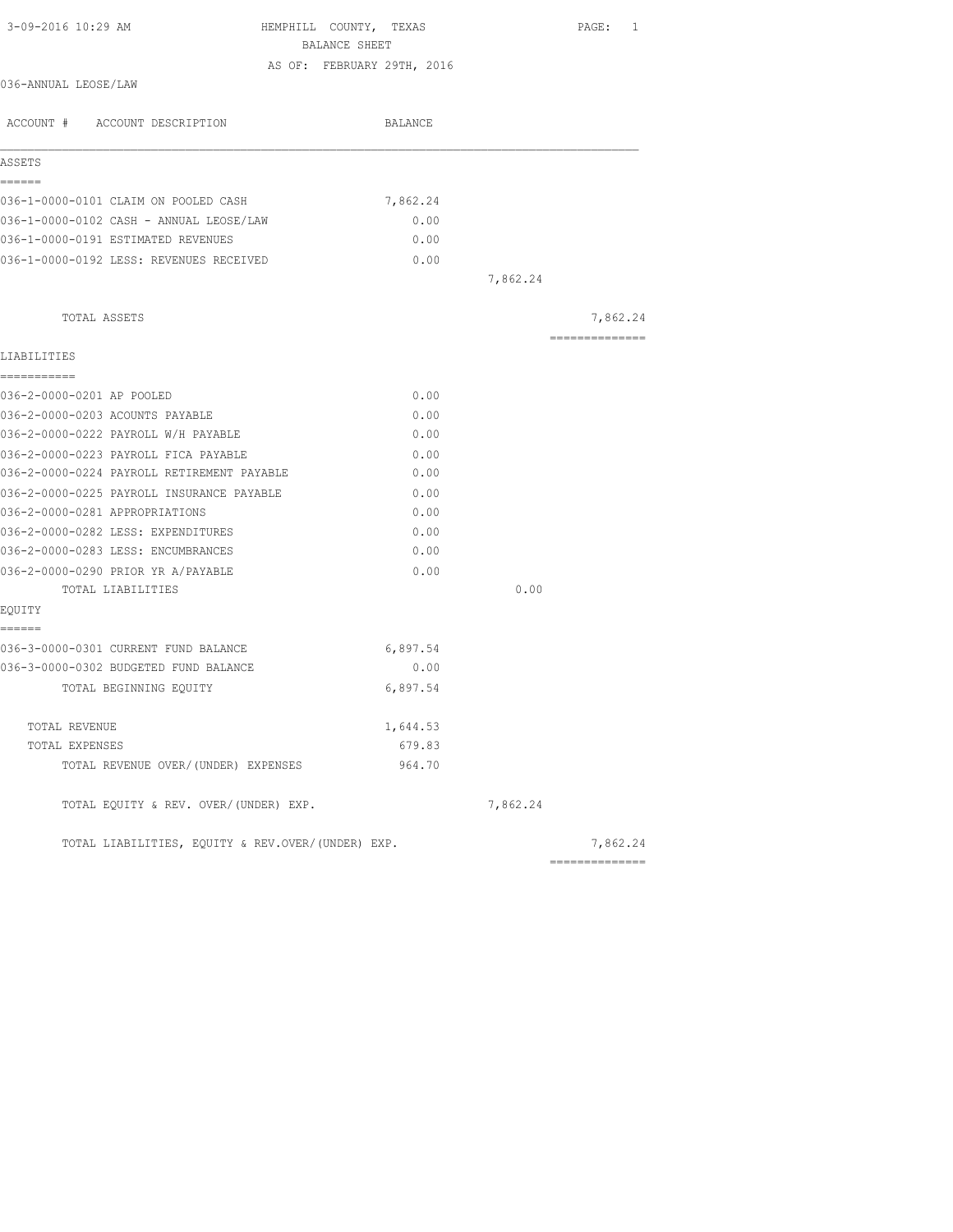| 3-09-2016 10:29 AM<br>HEMPHILL COUNTY, TEXAS<br>BALANCE SHEET |                            |          | PAGE: 1        |
|---------------------------------------------------------------|----------------------------|----------|----------------|
|                                                               | AS OF: FEBRUARY 29TH, 2016 |          |                |
| 036-ANNUAL LEOSE/LAW                                          |                            |          |                |
| ACCOUNT # ACCOUNT DESCRIPTION                                 | BALANCE                    |          |                |
| ASSETS                                                        |                            |          |                |
| ======                                                        |                            |          |                |
| 036-1-0000-0101 CLAIM ON POOLED CASH                          | 7,862.24                   |          |                |
| 036-1-0000-0102 CASH - ANNUAL LEOSE/LAW                       | 0.00                       |          |                |
| 036-1-0000-0191 ESTIMATED REVENUES                            | 0.00                       |          |                |
| 036-1-0000-0192 LESS: REVENUES RECEIVED                       | 0.00                       |          |                |
|                                                               |                            | 7,862.24 |                |
| TOTAL ASSETS                                                  |                            |          | 7,862.24       |
|                                                               |                            |          | ============== |
| LIABILITIES                                                   |                            |          |                |
| -----------                                                   |                            |          |                |
| 036-2-0000-0201 AP POOLED                                     | 0.00                       |          |                |
| 036-2-0000-0203 ACOUNTS PAYABLE                               | 0.00                       |          |                |
| 036-2-0000-0222 PAYROLL W/H PAYABLE                           | 0.00                       |          |                |
| 036-2-0000-0223 PAYROLL FICA PAYABLE                          | 0.00                       |          |                |
| 036-2-0000-0224 PAYROLL RETIREMENT PAYABLE                    | 0.00                       |          |                |
| 036-2-0000-0225 PAYROLL INSURANCE PAYABLE                     | 0.00                       |          |                |
| 036-2-0000-0281 APPROPRIATIONS                                | 0.00                       |          |                |
| 036-2-0000-0282 LESS: EXPENDITURES                            | 0.00                       |          |                |
| 036-2-0000-0283 LESS: ENCUMBRANCES                            | 0.00                       |          |                |
| 036-2-0000-0290 PRIOR YR A/PAYABLE                            | 0.00                       |          |                |
| TOTAL LIABILITIES                                             |                            | 0.00     |                |
| EQUITY<br>======                                              |                            |          |                |
| 036-3-0000-0301 CURRENT FUND BALANCE                          | 6,897.54                   |          |                |
| 036-3-0000-0302 BUDGETED FUND BALANCE                         | 0.00                       |          |                |
| TOTAL BEGINNING EQUITY                                        | 6,897.54                   |          |                |
| TOTAL REVENUE                                                 | 1,644.53                   |          |                |
| TOTAL EXPENSES                                                | 679.83                     |          |                |
| TOTAL REVENUE OVER/(UNDER) EXPENSES                           | 964.70                     |          |                |
| TOTAL EQUITY & REV. OVER/(UNDER) EXP.                         |                            | 7,862.24 |                |
| TOTAL LIABILITIES, EQUITY & REV.OVER/(UNDER) EXP.             |                            |          | 7,862.24       |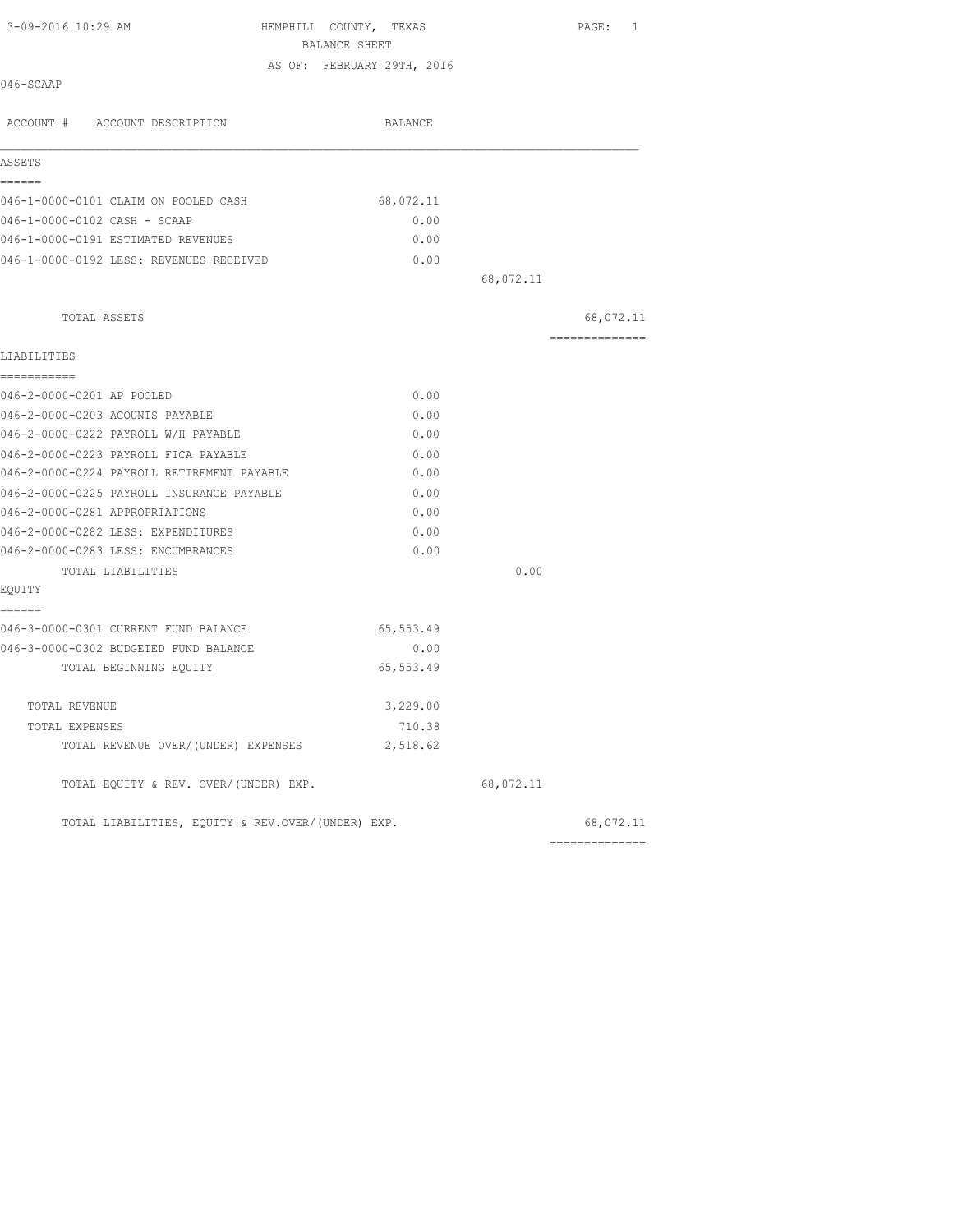| 3-09-2016 10:29 AM                                | HEMPHILL COUNTY, TEXAS<br>BALANCE SHEET |           | PAGE: 1        |
|---------------------------------------------------|-----------------------------------------|-----------|----------------|
|                                                   | AS OF: FEBRUARY 29TH, 2016              |           |                |
| 046-SCAAP                                         |                                         |           |                |
| ACCOUNT # ACCOUNT DESCRIPTION                     | BALANCE                                 |           |                |
| ASSETS                                            |                                         |           |                |
| ------<br>046-1-0000-0101 CLAIM ON POOLED CASH    | 68,072.11                               |           |                |
| 046-1-0000-0102 CASH - SCAAP                      | 0.00                                    |           |                |
| 046-1-0000-0191 ESTIMATED REVENUES                | 0.00                                    |           |                |
| 046-1-0000-0192 LESS: REVENUES RECEIVED           | 0.00                                    |           |                |
|                                                   |                                         | 68,072.11 |                |
|                                                   |                                         |           |                |
| TOTAL ASSETS                                      |                                         |           | 68,072.11      |
|                                                   |                                         |           | ============== |
| LIABILITIES                                       |                                         |           |                |
| ===========<br>046-2-0000-0201 AP POOLED          | 0.00                                    |           |                |
| 046-2-0000-0203 ACOUNTS PAYABLE                   | 0.00                                    |           |                |
| 046-2-0000-0222 PAYROLL W/H PAYABLE               | 0.00                                    |           |                |
| 046-2-0000-0223 PAYROLL FICA PAYABLE              | 0.00                                    |           |                |
| 046-2-0000-0224 PAYROLL RETIREMENT PAYABLE        | 0.00                                    |           |                |
| 046-2-0000-0225 PAYROLL INSURANCE PAYABLE         | 0.00                                    |           |                |
| 046-2-0000-0281 APPROPRIATIONS                    | 0.00                                    |           |                |
| 046-2-0000-0282 LESS: EXPENDITURES                | 0.00                                    |           |                |
| 046-2-0000-0283 LESS: ENCUMBRANCES                | 0.00                                    |           |                |
| TOTAL LIABILITIES                                 |                                         | 0.00      |                |
| EQUITY                                            |                                         |           |                |
| ======<br>046-3-0000-0301 CURRENT FUND BALANCE    | 65,553.49                               |           |                |
| 046-3-0000-0302 BUDGETED FUND BALANCE             | 0.00                                    |           |                |
| TOTAL BEGINNING EQUITY                            | 65, 553.49                              |           |                |
| TOTAL REVENUE                                     | 3,229.00                                |           |                |
| TOTAL EXPENSES                                    | 710.38                                  |           |                |
| TOTAL REVENUE OVER/(UNDER) EXPENSES               | 2,518.62                                |           |                |
| TOTAL EQUITY & REV. OVER/(UNDER) EXP.             |                                         | 68,072.11 |                |
| TOTAL LIABILITIES, EQUITY & REV.OVER/(UNDER) EXP. |                                         |           | 68,072.11      |
|                                                   |                                         |           |                |

==============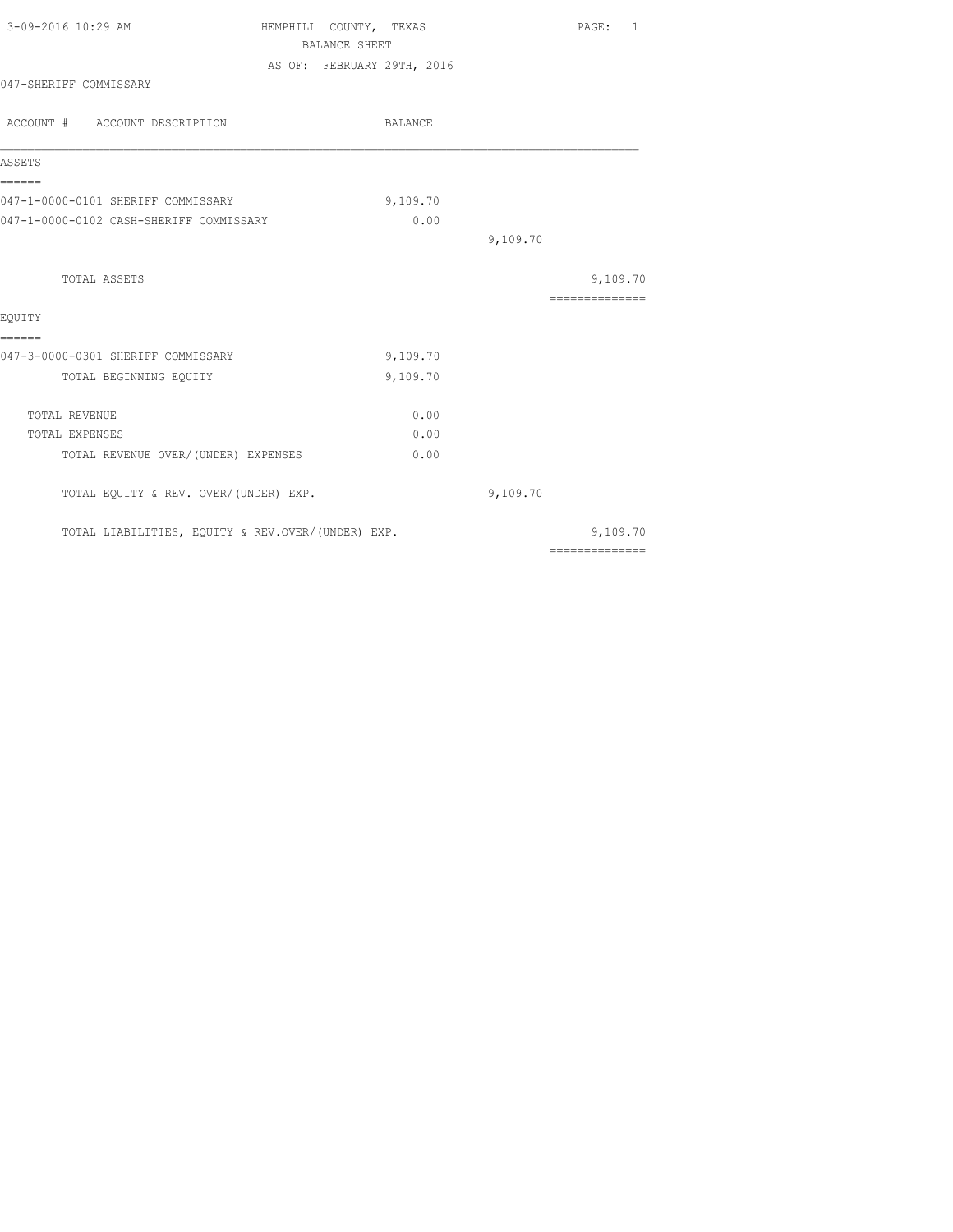| 3-09-2016 10:29 AM                                | HEMPHILL COUNTY, TEXAS |                            |          | PAGE: 1                                                                                                                                                                                                                                                                                                                                                                                                                                                                                |
|---------------------------------------------------|------------------------|----------------------------|----------|----------------------------------------------------------------------------------------------------------------------------------------------------------------------------------------------------------------------------------------------------------------------------------------------------------------------------------------------------------------------------------------------------------------------------------------------------------------------------------------|
|                                                   | <b>BALANCE SHEET</b>   |                            |          |                                                                                                                                                                                                                                                                                                                                                                                                                                                                                        |
|                                                   |                        | AS OF: FEBRUARY 29TH, 2016 |          |                                                                                                                                                                                                                                                                                                                                                                                                                                                                                        |
| 047-SHERIFF COMMISSARY                            |                        |                            |          |                                                                                                                                                                                                                                                                                                                                                                                                                                                                                        |
| ACCOUNT # ACCOUNT DESCRIPTION                     |                        | BALANCE                    |          |                                                                                                                                                                                                                                                                                                                                                                                                                                                                                        |
| ASSETS                                            |                        |                            |          |                                                                                                                                                                                                                                                                                                                                                                                                                                                                                        |
| ======<br>047-1-0000-0101 SHERIFF COMMISSARY      |                        | 9,109.70                   |          |                                                                                                                                                                                                                                                                                                                                                                                                                                                                                        |
| 047-1-0000-0102 CASH-SHERIFF COMMISSARY           |                        | 0.00                       |          |                                                                                                                                                                                                                                                                                                                                                                                                                                                                                        |
|                                                   |                        |                            | 9,109.70 |                                                                                                                                                                                                                                                                                                                                                                                                                                                                                        |
| TOTAL ASSETS                                      |                        |                            |          | 9,109.70                                                                                                                                                                                                                                                                                                                                                                                                                                                                               |
|                                                   |                        |                            |          | ==============                                                                                                                                                                                                                                                                                                                                                                                                                                                                         |
| EOUITY                                            |                        |                            |          |                                                                                                                                                                                                                                                                                                                                                                                                                                                                                        |
| ======<br>047-3-0000-0301 SHERIFF COMMISSARY      |                        | 9,109.70                   |          |                                                                                                                                                                                                                                                                                                                                                                                                                                                                                        |
| TOTAL BEGINNING EQUITY                            |                        | 9,109.70                   |          |                                                                                                                                                                                                                                                                                                                                                                                                                                                                                        |
| TOTAL REVENUE                                     |                        | 0.00                       |          |                                                                                                                                                                                                                                                                                                                                                                                                                                                                                        |
| TOTAL EXPENSES                                    |                        | 0.00                       |          |                                                                                                                                                                                                                                                                                                                                                                                                                                                                                        |
| TOTAL REVENUE OVER/(UNDER) EXPENSES               |                        | 0.00                       |          |                                                                                                                                                                                                                                                                                                                                                                                                                                                                                        |
| TOTAL EQUITY & REV. OVER/(UNDER) EXP.             |                        |                            | 9,109.70 |                                                                                                                                                                                                                                                                                                                                                                                                                                                                                        |
| TOTAL LIABILITIES, EQUITY & REV.OVER/(UNDER) EXP. |                        |                            |          | 9,109.70                                                                                                                                                                                                                                                                                                                                                                                                                                                                               |
|                                                   |                        |                            |          | $\begin{array}{cccccccccccccc} \multicolumn{2}{c}{} & \multicolumn{2}{c}{} & \multicolumn{2}{c}{} & \multicolumn{2}{c}{} & \multicolumn{2}{c}{} & \multicolumn{2}{c}{} & \multicolumn{2}{c}{} & \multicolumn{2}{c}{} & \multicolumn{2}{c}{} & \multicolumn{2}{c}{} & \multicolumn{2}{c}{} & \multicolumn{2}{c}{} & \multicolumn{2}{c}{} & \multicolumn{2}{c}{} & \multicolumn{2}{c}{} & \multicolumn{2}{c}{} & \multicolumn{2}{c}{} & \multicolumn{2}{c}{} & \multicolumn{2}{c}{} & \$ |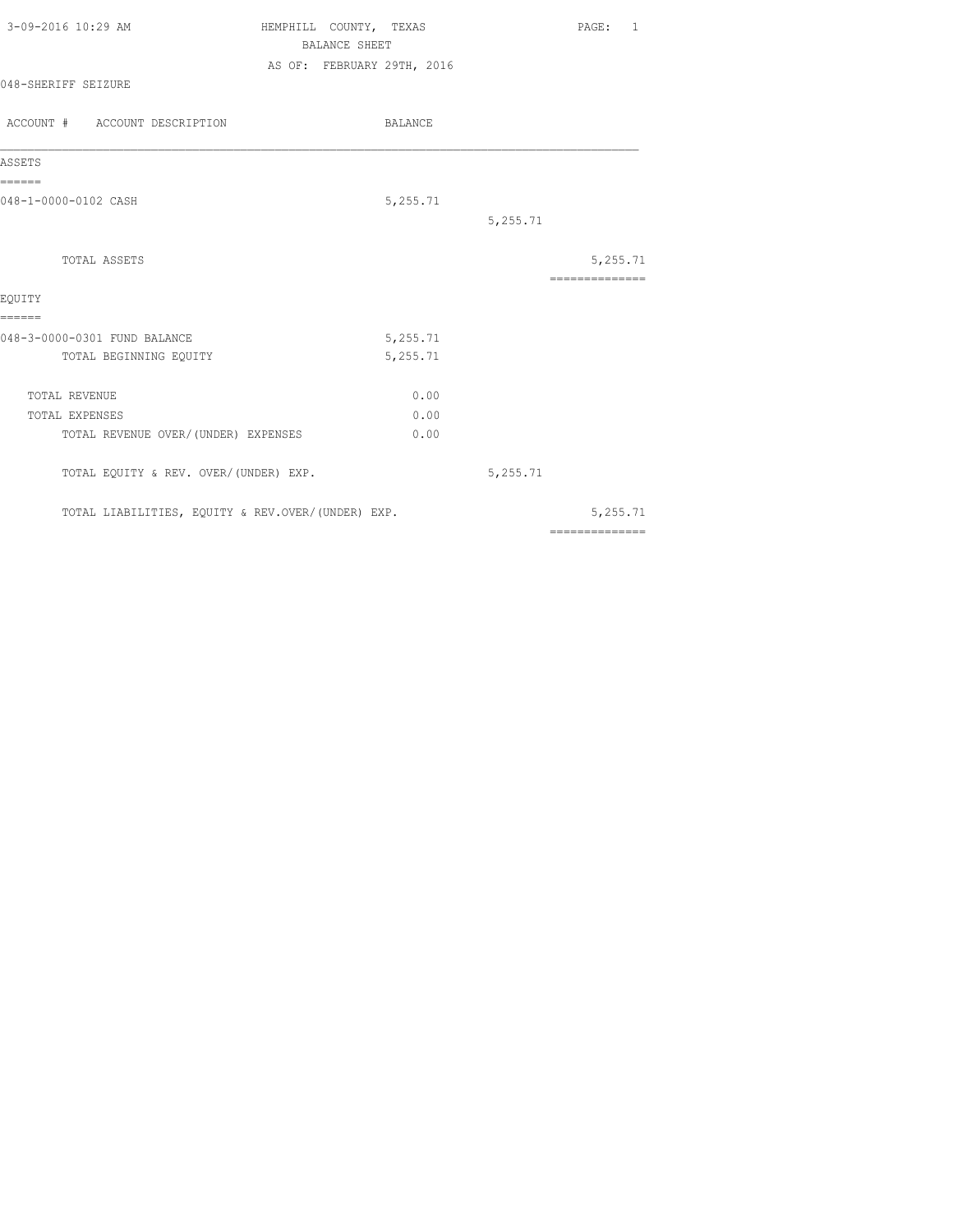| 3-09-2016 10:29 AM                                     | HEMPHILL COUNTY, TEXAS<br><b>BALANCE SHEET</b> |                      |          | PAGE: 1                    |  |
|--------------------------------------------------------|------------------------------------------------|----------------------|----------|----------------------------|--|
| 048-SHERIFF SEIZURE                                    | AS OF: FEBRUARY 29TH, 2016                     |                      |          |                            |  |
| ACCOUNT # ACCOUNT DESCRIPTION                          |                                                | BALANCE              |          |                            |  |
| ASSETS                                                 |                                                |                      |          |                            |  |
| ======<br>048-1-0000-0102 CASH                         |                                                | 5,255.71             | 5,255.71 |                            |  |
| TOTAL ASSETS<br>EOUITY                                 |                                                |                      |          | 5,255.71<br>============== |  |
| ======                                                 |                                                |                      |          |                            |  |
| 048-3-0000-0301 FUND BALANCE<br>TOTAL BEGINNING EQUITY |                                                | 5,255.71<br>5,255.71 |          |                            |  |
| TOTAL REVENUE                                          |                                                | 0.00                 |          |                            |  |
| TOTAL EXPENSES                                         |                                                | 0.00                 |          |                            |  |
| TOTAL REVENUE OVER/ (UNDER) EXPENSES                   |                                                | 0.00                 |          |                            |  |
| TOTAL EQUITY & REV. OVER/(UNDER) EXP.                  |                                                |                      | 5,255.71 |                            |  |
| TOTAL LIABILITIES, EQUITY & REV.OVER/(UNDER) EXP.      |                                                |                      |          | 5,255.71                   |  |

==============